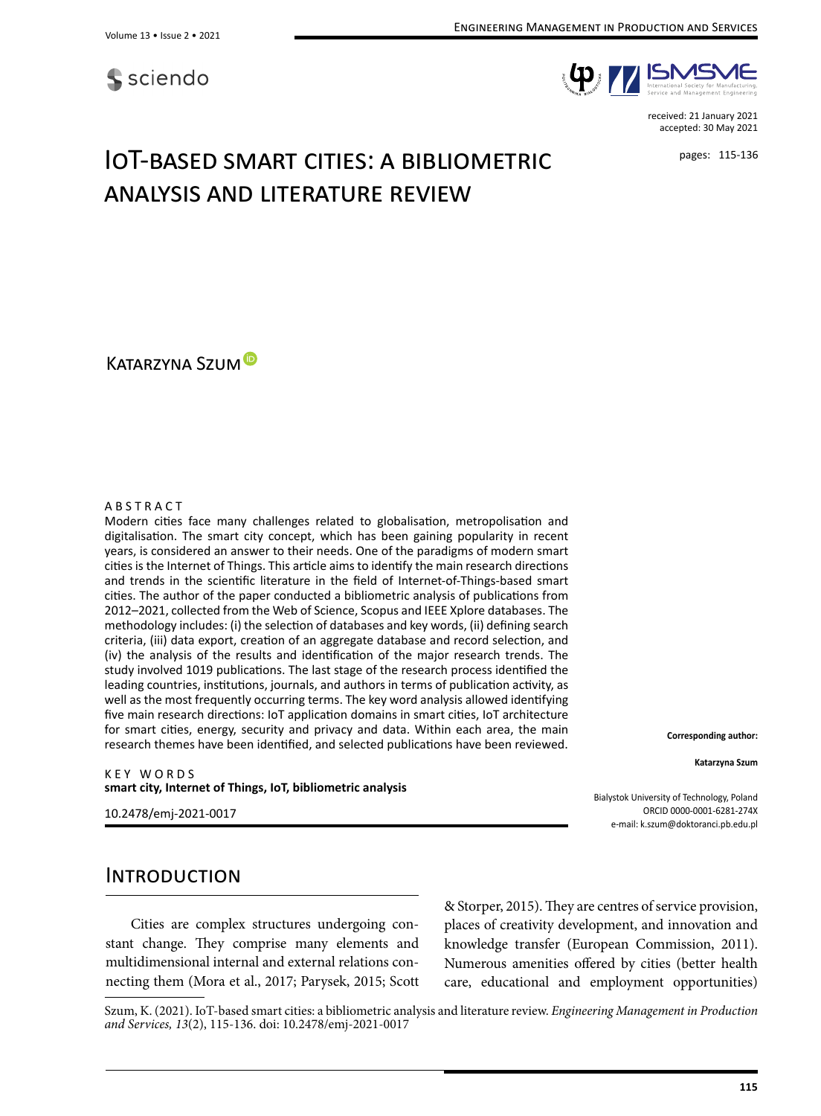



received: 21 January 2021 accepted: 30 May 2021

pages: 115-136

# IoT-based smart cities: a bibliometric analysis and literature review

Katarzyna Szu[m](http://orcid.org/0000-0001-6281-274X)<sup>0</sup>

#### A B S T R A C T

Modern cities face many challenges related to globalisation, metropolisation and digitalisation. The smart city concept, which has been gaining popularity in recent years, is considered an answer to their needs. One of the paradigms of modern smart cities is the Internet of Things. This article aims to identify the main research directions and trends in the scientific literature in the field of Internet-of-Things-based smart cities. The author of the paper conducted a bibliometric analysis of publications from 2012–2021, collected from the Web of Science, Scopus and IEEE Xplore databases. The methodology includes: (i) the selection of databases and key words, (ii) defining search criteria, (iii) data export, creation of an aggregate database and record selection, and (iv) the analysis of the results and identification of the major research trends. The study involved 1019 publications. The last stage of the research process identified the leading countries, institutions, journals, and authors in terms of publication activity, as well as the most frequently occurring terms. The key word analysis allowed identifying five main research directions: IoT application domains in smart cities, IoT architecture for smart cities, energy, security and privacy and data. Within each area, the main research themes have been identified, and selected publications have been reviewed.

#### K E Y W O R D S **smart city, Internet of Things, IoT, bibliometric analysis**

10.2478/emj-2021-0017

**Corresponding author: Katarzyna Szum**

Bialystok University of Technology, Poland ORCID 0000-0001-6281-274X e-mail: k.szum@doktoranci.pb.edu.pl

#### **INTRODUCTION**

Cities are complex structures undergoing constant change. They comprise many elements and multidimensional internal and external relations connecting them (Mora et al., 2017; Parysek, 2015; Scott & Storper, 2015). They are centres of service provision, places of creativity development, and innovation and knowledge transfer (European Commission, 2011). Numerous amenities offered by cities (better health care, educational and employment opportunities)

Szum, K. (2021). IoT-based smart cities: a bibliometric analysis and literature review. *Engineering Management in Production and Services, 13*(2), 115-136. doi: 10.2478/emj-2021-0017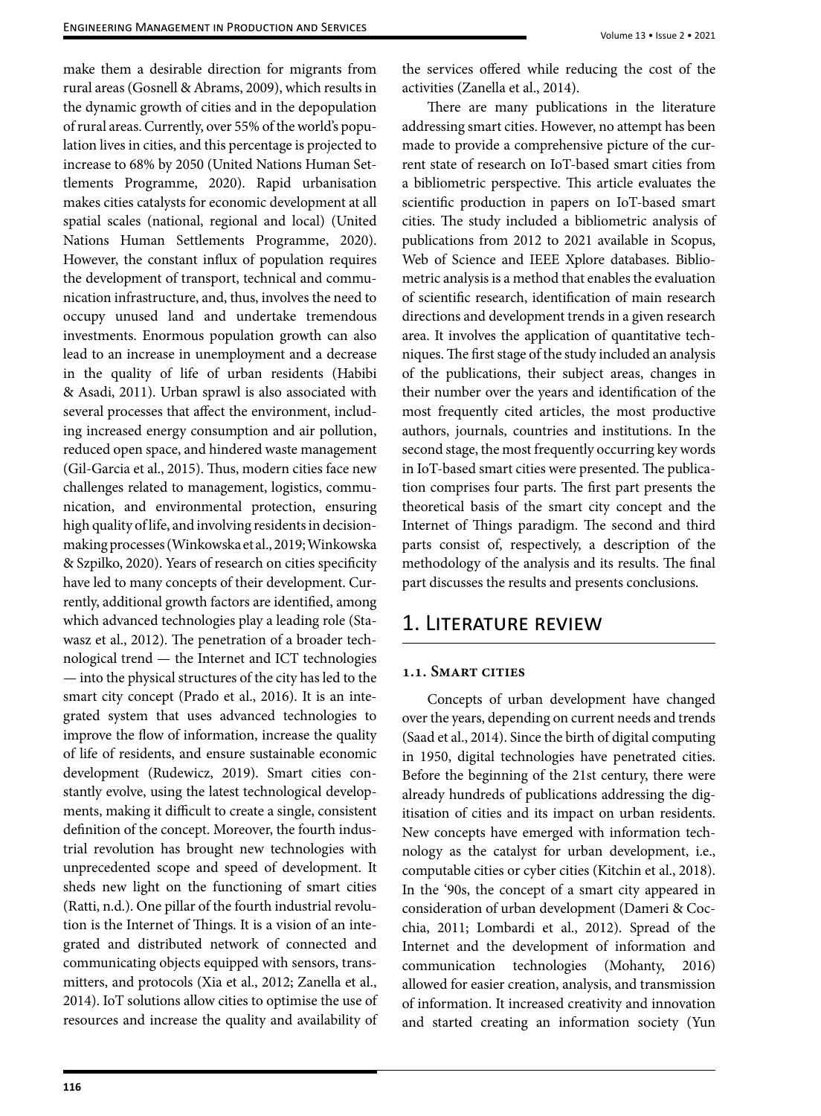make them a desirable direction for migrants from rural areas (Gosnell & Abrams, 2009), which results in the dynamic growth of cities and in the depopulation of rural areas. Currently, over 55% of the world's population lives in cities, and this percentage is projected to increase to 68% by 2050 (United Nations Human Settlements Programme, 2020). Rapid urbanisation makes cities catalysts for economic development at all spatial scales (national, regional and local) (United Nations Human Settlements Programme, 2020). However, the constant influx of population requires the development of transport, technical and communication infrastructure, and, thus, involves the need to occupy unused land and undertake tremendous investments. Enormous population growth can also lead to an increase in unemployment and a decrease in the quality of life of urban residents (Habibi & Asadi, 2011). Urban sprawl is also associated with several processes that affect the environment, including increased energy consumption and air pollution, reduced open space, and hindered waste management (Gil-Garcia et al., 2015). Thus, modern cities face new challenges related to management, logistics, communication, and environmental protection, ensuring high quality of life, and involving residents in decisionmaking processes (Winkowska et al., 2019; Winkowska & Szpilko, 2020). Years of research on cities specificity have led to many concepts of their development. Currently, additional growth factors are identified, among which advanced technologies play a leading role (Stawasz et al., 2012). The penetration of a broader technological trend — the Internet and ICT technologies — into the physical structures of the city has led to the smart city concept (Prado et al., 2016). It is an integrated system that uses advanced technologies to improve the flow of information, increase the quality of life of residents, and ensure sustainable economic development (Rudewicz, 2019). Smart cities constantly evolve, using the latest technological developments, making it difficult to create a single, consistent definition of the concept. Moreover, the fourth industrial revolution has brought new technologies with unprecedented scope and speed of development. It sheds new light on the functioning of smart cities (Ratti, n.d.). One pillar of the fourth industrial revolution is the Internet of Things. It is a vision of an integrated and distributed network of connected and communicating objects equipped with sensors, transmitters, and protocols (Xia et al., 2012; Zanella et al., 2014). IoT solutions allow cities to optimise the use of resources and increase the quality and availability of

There are many publications in the literature addressing smart cities. However, no attempt has been made to provide a comprehensive picture of the current state of research on IoT-based smart cities from a bibliometric perspective. This article evaluates the scientific production in papers on IoT-based smart cities. The study included a bibliometric analysis of publications from 2012 to 2021 available in Scopus, Web of Science and IEEE Xplore databases. Bibliometric analysis is a method that enables the evaluation of scientific research, identification of main research directions and development trends in a given research area. It involves the application of quantitative techniques. The first stage of the study included an analysis of the publications, their subject areas, changes in their number over the years and identification of the most frequently cited articles, the most productive authors, journals, countries and institutions. In the second stage, the most frequently occurring key words in IoT-based smart cities were presented. The publication comprises four parts. The first part presents the theoretical basis of the smart city concept and the Internet of Things paradigm. The second and third parts consist of, respectively, a description of the methodology of the analysis and its results. The final part discusses the results and presents conclusions.

# 1. Literature review

#### **1.1. Smart cities**

Concepts of urban development have changed over the years, depending on current needs and trends (Saad et al., 2014). Since the birth of digital computing in 1950, digital technologies have penetrated cities. Before the beginning of the 21st century, there were already hundreds of publications addressing the digitisation of cities and its impact on urban residents. New concepts have emerged with information technology as the catalyst for urban development, i.e., computable cities or cyber cities (Kitchin et al., 2018). In the '90s, the concept of a smart city appeared in consideration of urban development (Dameri & Cocchia, 2011; Lombardi et al., 2012). Spread of the Internet and the development of information and communication technologies (Mohanty, 2016) allowed for easier creation, analysis, and transmission of information. It increased creativity and innovation and started creating an information society (Yun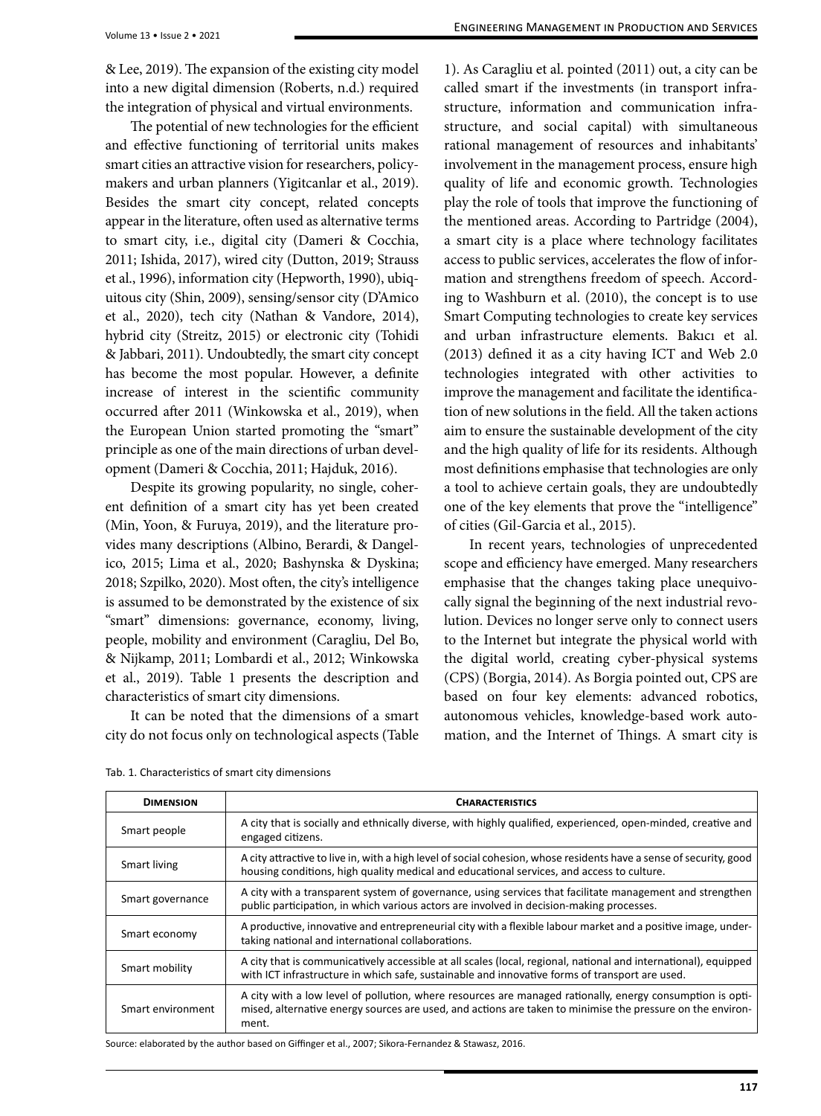& Lee, 2019). The expansion of the existing city model into a new digital dimension (Roberts, n.d.) required the integration of physical and virtual environments.

The potential of new technologies for the efficient and effective functioning of territorial units makes smart cities an attractive vision for researchers, policymakers and urban planners (Yigitcanlar et al., 2019). Besides the smart city concept, related concepts appear in the literature, often used as alternative terms to smart city, i.e., digital city (Dameri & Cocchia, 2011; Ishida, 2017), wired city (Dutton, 2019; Strauss et al., 1996), information city (Hepworth, 1990), ubiquitous city (Shin, 2009), sensing/sensor city (D'Amico et al., 2020), tech city (Nathan & Vandore, 2014), hybrid city (Streitz, 2015) or electronic city (Tohidi & Jabbari, 2011). Undoubtedly, the smart city concept has become the most popular. However, a definite increase of interest in the scientific community occurred after 2011 (Winkowska et al., 2019), when the European Union started promoting the "smart" principle as one of the main directions of urban development (Dameri & Cocchia, 2011; Hajduk, 2016).

Despite its growing popularity, no single, coherent definition of a smart city has yet been created (Min, Yoon, & Furuya, 2019), and the literature provides many descriptions (Albino, Berardi, & Dangelico, 2015; Lima et al., 2020; Bashynska & Dyskina; 2018; Szpilko, 2020). Most often, the city's intelligence is assumed to be demonstrated by the existence of six "smart" dimensions: governance, economy, living, people, mobility and environment (Caragliu, Del Bo, & Nijkamp, 2011; Lombardi et al., 2012; Winkowska et al., 2019). Table 1 presents the description and characteristics of smart city dimensions.

It can be noted that the dimensions of a smart city do not focus only on technological aspects (Table 1). As Caragliu et al. pointed (2011) out, a city can be called smart if the investments (in transport infrastructure, information and communication infrastructure, and social capital) with simultaneous rational management of resources and inhabitants' involvement in the management process, ensure high quality of life and economic growth. Technologies play the role of tools that improve the functioning of the mentioned areas. According to Partridge (2004), a smart city is a place where technology facilitates access to public services, accelerates the flow of information and strengthens freedom of speech. According to Washburn et al. (2010), the concept is to use Smart Computing technologies to create key services and urban infrastructure elements. Bakıcı et al. (2013) defined it as a city having ICT and Web 2.0 technologies integrated with other activities to improve the management and facilitate the identification of new solutions in the field. All the taken actions aim to ensure the sustainable development of the city and the high quality of life for its residents. Although most definitions emphasise that technologies are only a tool to achieve certain goals, they are undoubtedly one of the key elements that prove the "intelligence" of cities (Gil-Garcia et al., 2015).

In recent years, technologies of unprecedented scope and efficiency have emerged. Many researchers emphasise that the changes taking place unequivocally signal the beginning of the next industrial revolution. Devices no longer serve only to connect users to the Internet but integrate the physical world with the digital world, creating cyber-physical systems (CPS) (Borgia, 2014). As Borgia pointed out, CPS are based on four key elements: advanced robotics, autonomous vehicles, knowledge-based work automation, and the Internet of Things. A smart city is

| Tab. 1. Characteristics of smart city dimensions |  |
|--------------------------------------------------|--|
|--------------------------------------------------|--|

| <b>DIMENSION</b>  | <b>CHARACTERISTICS</b>                                                                                                                                                                                                           |
|-------------------|----------------------------------------------------------------------------------------------------------------------------------------------------------------------------------------------------------------------------------|
| Smart people      | A city that is socially and ethnically diverse, with highly qualified, experienced, open-minded, creative and<br>engaged citizens.                                                                                               |
| Smart living      | A city attractive to live in, with a high level of social cohesion, whose residents have a sense of security, good<br>housing conditions, high quality medical and educational services, and access to culture.                  |
| Smart governance  | A city with a transparent system of governance, using services that facilitate management and strengthen<br>public participation, in which various actors are involved in decision-making processes.                             |
| Smart economy     | A productive, innovative and entrepreneurial city with a flexible labour market and a positive image, under-<br>taking national and international collaborations.                                                                |
| Smart mobility    | A city that is communicatively accessible at all scales (local, regional, national and international), equipped<br>with ICT infrastructure in which safe, sustainable and innovative forms of transport are used.                |
| Smart environment | A city with a low level of pollution, where resources are managed rationally, energy consumption is opti-<br>mised, alternative energy sources are used, and actions are taken to minimise the pressure on the environ-<br>ment. |

Source: elaborated by the author based on Giffinger et al., 2007; Sikora-Fernandez & Stawasz, 2016.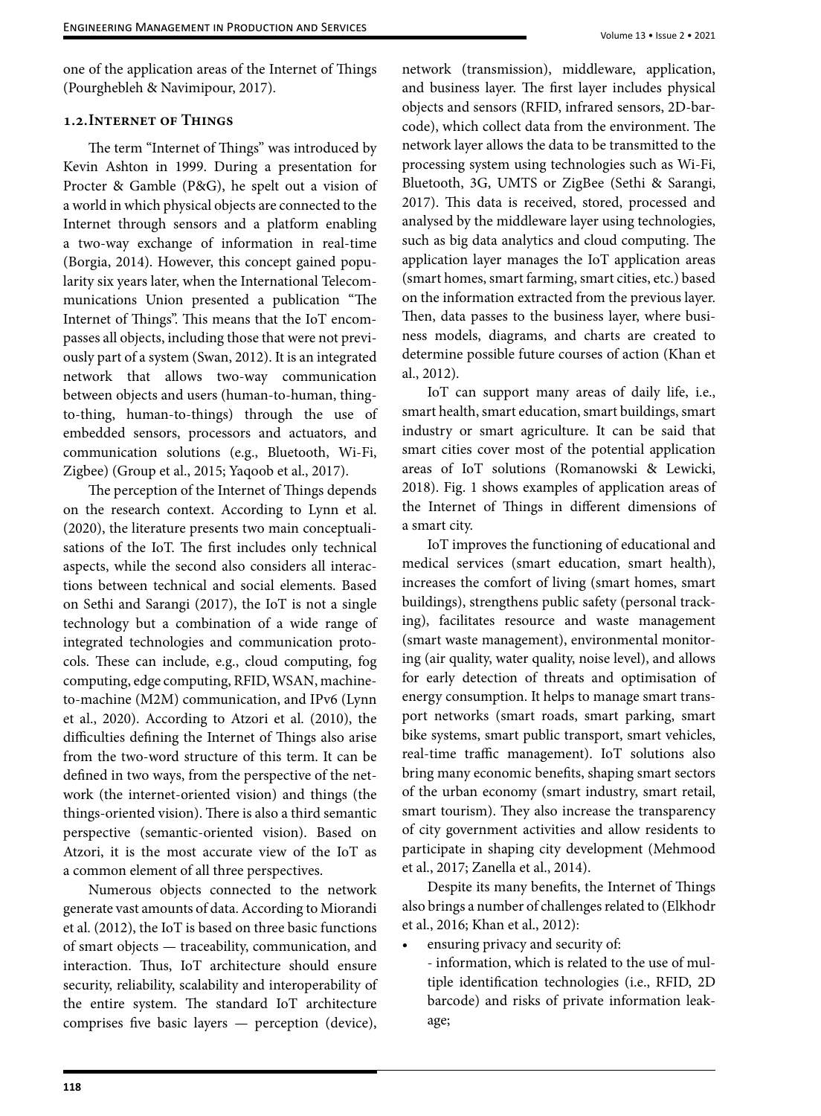one of the application areas of the Internet of Things (Pourghebleh & Navimipour, 2017).

#### **1.2.Internet of Things**

The term "Internet of Things" was introduced by Kevin Ashton in 1999. During a presentation for Procter & Gamble (P&G), he spelt out a vision of a world in which physical objects are connected to the Internet through sensors and a platform enabling a two-way exchange of information in real-time (Borgia, 2014). However, this concept gained popularity six years later, when the International Telecommunications Union presented a publication "The Internet of Things". This means that the IoT encompasses all objects, including those that were not previously part of a system (Swan, 2012). It is an integrated network that allows two-way communication between objects and users (human-to-human, thingto-thing, human-to-things) through the use of embedded sensors, processors and actuators, and communication solutions (e.g., Bluetooth, Wi-Fi, Zigbee) (Group et al., 2015; Yaqoob et al., 2017).

The perception of the Internet of Things depends on the research context. According to Lynn et al. (2020), the literature presents two main conceptualisations of the IoT. The first includes only technical aspects, while the second also considers all interactions between technical and social elements. Based on Sethi and Sarangi (2017), the IoT is not a single technology but a combination of a wide range of integrated technologies and communication protocols. These can include, e.g., cloud computing, fog computing, edge computing, RFID, WSAN, machineto-machine (M2M) communication, and IPv6 (Lynn et al., 2020). According to Atzori et al. (2010), the difficulties defining the Internet of Things also arise from the two-word structure of this term. It can be defined in two ways, from the perspective of the network (the internet-oriented vision) and things (the things-oriented vision). There is also a third semantic perspective (semantic-oriented vision). Based on Atzori, it is the most accurate view of the IoT as a common element of all three perspectives.

Numerous objects connected to the network generate vast amounts of data. According to Miorandi et al. (2012), the IoT is based on three basic functions of smart objects — traceability, communication, and interaction. Thus, IoT architecture should ensure security, reliability, scalability and interoperability of the entire system. The standard IoT architecture comprises five basic layers — perception (device),

network (transmission), middleware, application, and business layer. The first layer includes physical objects and sensors (RFID, infrared sensors, 2D-barcode), which collect data from the environment. The network layer allows the data to be transmitted to the processing system using technologies such as Wi-Fi, Bluetooth, 3G, UMTS or ZigBee (Sethi & Sarangi, 2017). This data is received, stored, processed and analysed by the middleware layer using technologies, such as big data analytics and cloud computing. The application layer manages the IoT application areas (smart homes, smart farming, smart cities, etc.) based on the information extracted from the previous layer. Then, data passes to the business layer, where business models, diagrams, and charts are created to determine possible future courses of action (Khan et al., 2012).

IoT can support many areas of daily life, i.e., smart health, smart education, smart buildings, smart industry or smart agriculture. It can be said that smart cities cover most of the potential application areas of IoT solutions (Romanowski & Lewicki, 2018). Fig. 1 shows examples of application areas of the Internet of Things in different dimensions of a smart city.

IoT improves the functioning of educational and medical services (smart education, smart health), increases the comfort of living (smart homes, smart buildings), strengthens public safety (personal tracking), facilitates resource and waste management (smart waste management), environmental monitoring (air quality, water quality, noise level), and allows for early detection of threats and optimisation of energy consumption. It helps to manage smart transport networks (smart roads, smart parking, smart bike systems, smart public transport, smart vehicles, real-time traffic management). IoT solutions also bring many economic benefits, shaping smart sectors of the urban economy (smart industry, smart retail, smart tourism). They also increase the transparency of city government activities and allow residents to participate in shaping city development (Mehmood et al., 2017; Zanella et al., 2014).

Despite its many benefits, the Internet of Things also brings a number of challenges related to (Elkhodr et al., 2016; Khan et al., 2012):

- ensuring privacy and security of:
	- information, which is related to the use of multiple identification technologies (i.e., RFID, 2D barcode) and risks of private information leakage;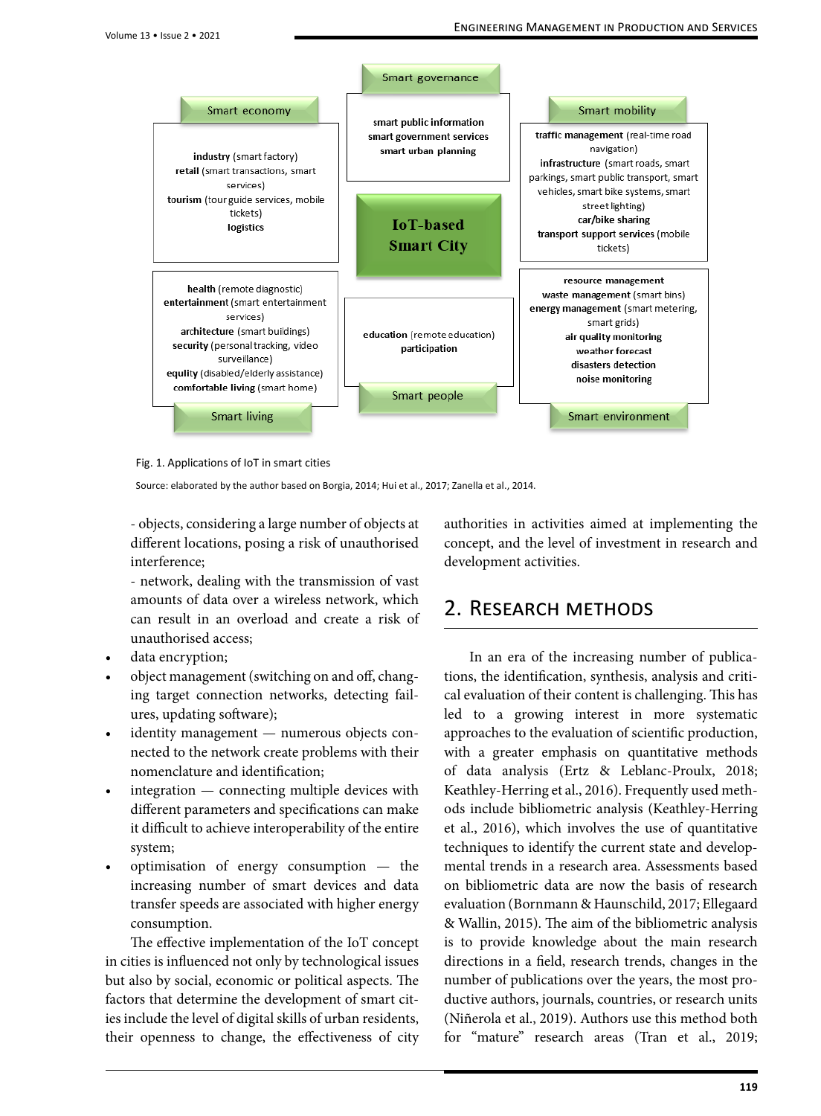

Fig. 1. Applications of IoT in smart cities

Source: elaborated by the author based on Borgia, 2014; Hui et al., 2017; Zanella et al., 2014.

- objects, considering a large number of objects at different locations, posing a risk of unauthorised interference;

- network, dealing with the transmission of vast amounts of data over a wireless network, which can result in an overload and create a risk of unauthorised access;

- data encryption;
- object management (switching on and off, changing target connection networks, detecting failures, updating software);
- identity management numerous objects connected to the network create problems with their nomenclature and identification;
- integration connecting multiple devices with different parameters and specifications can make it difficult to achieve interoperability of the entire system;
- optimisation of energy consumption the increasing number of smart devices and data transfer speeds are associated with higher energy consumption.

The effective implementation of the IoT concept in cities is influenced not only by technological issues but also by social, economic or political aspects. The factors that determine the development of smart cities include the level of digital skills of urban residents, their openness to change, the effectiveness of city

Fig. 2. Proposed methodology for bibliometric analysis

authorities in activities aimed at implementing the concept, and the level of investment in research and development activities.

### 2. Research methods

In an era of the increasing number of publications, the identification, synthesis, analysis and critical evaluation of their content is challenging. This has led to a growing interest in more systematic approaches to the evaluation of scientific production, with a greater emphasis on quantitative methods of data analysis (Ertz & Leblanc-Proulx, 2018; Keathley-Herring et al., 2016). Frequently used methods include bibliometric analysis (Keathley-Herring et al., 2016), which involves the use of quantitative techniques to identify the current state and developmental trends in a research area. Assessments based on bibliometric data are now the basis of research evaluation (Bornmann & Haunschild, 2017; Ellegaard & Wallin, 2015). The aim of the bibliometric analysis is to provide knowledge about the main research directions in a field, research trends, changes in the number of publications over the years, the most productive authors, journals, countries, or research units (Niñerola et al., 2019). Authors use this method both for "mature" research areas (Tran et al., 2019;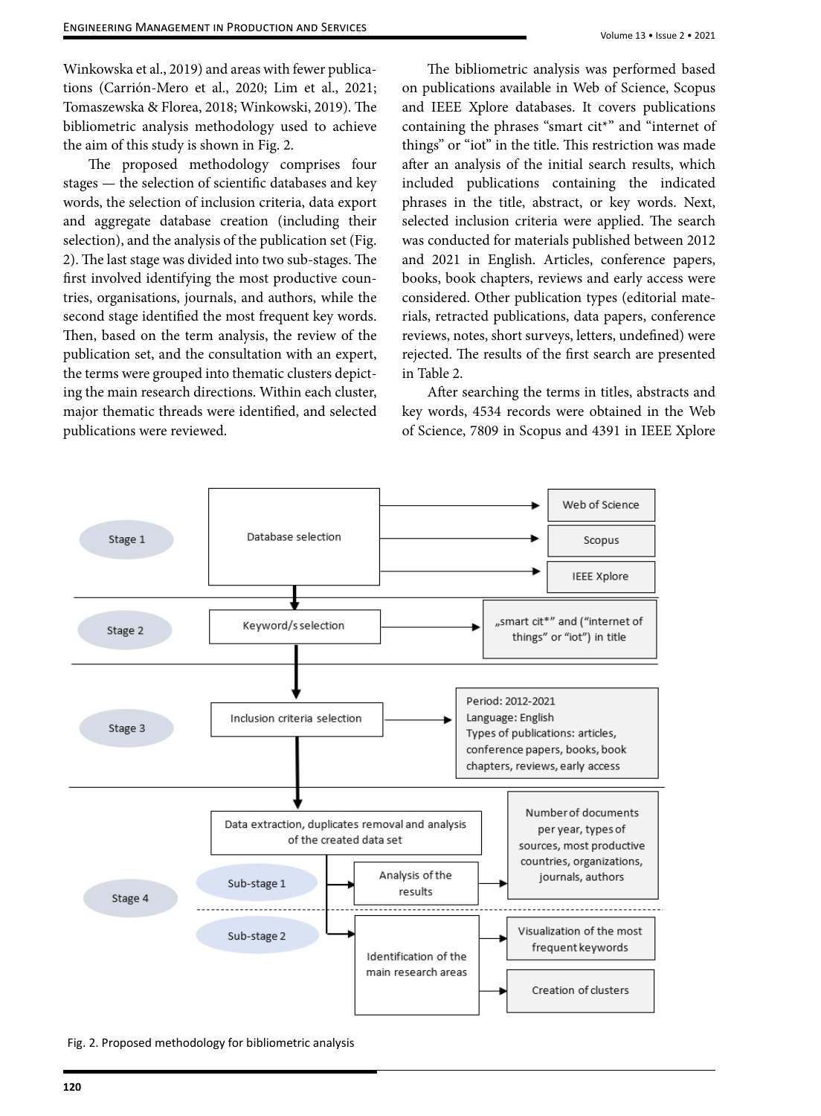Winkowska et al., 2019) and areas with fewer publications (Carrión-Mero et al., 2020; Lim et al., 2021; Tomaszewska & Florea, 2018; Winkowski, 2019). The bibliometric analysis methodology used to achieve the aim of this study is shown in Fig. 2.

The proposed methodology comprises four stages — the selection of scientific databases and key words, the selection of inclusion criteria, data export and aggregate database creation (including their selection), and the analysis of the publication set (Fig. 2). The last stage was divided into two sub-stages. The first involved identifying the most productive countries, organisations, journals, and authors, while the second stage identified the most frequent key words. Then, based on the term analysis, the review of the publication set, and the consultation with an expert, the terms were grouped into thematic clusters depicting the main research directions. Within each cluster, major thematic threads were identified, and selected level words, 4534 publications were reviewed.

The bibliometric analysis was performed based on publications available in Web of Science, Scopus and IEEE Xplore databases. It covers publications containing the phrases "smart cit\*" and "internet of things" or "iot" in the title. This restriction was made after an analysis of the initial search results, which included publications containing the indicated phrases in the title, abstract, or key words. Next, selected inclusion criteria were applied. The search was conducted for materials published between 2012 and 2021 in English. Articles, conference papers, books, book chapters, reviews and early access were considered. Other publication types (editorial materials, retracted publications, data papers, conference reviews, notes, short surveys, letters, undefined) were rejected. The results of the first search are presented in Table 2.

After searching the terms in titles, abstracts and key words, 4534 records were obtained in the Web of Science, 7809 in Scopus and 4391 in IEEE Xplore



Fig. 2. Proposed methodology for bibliometric analysis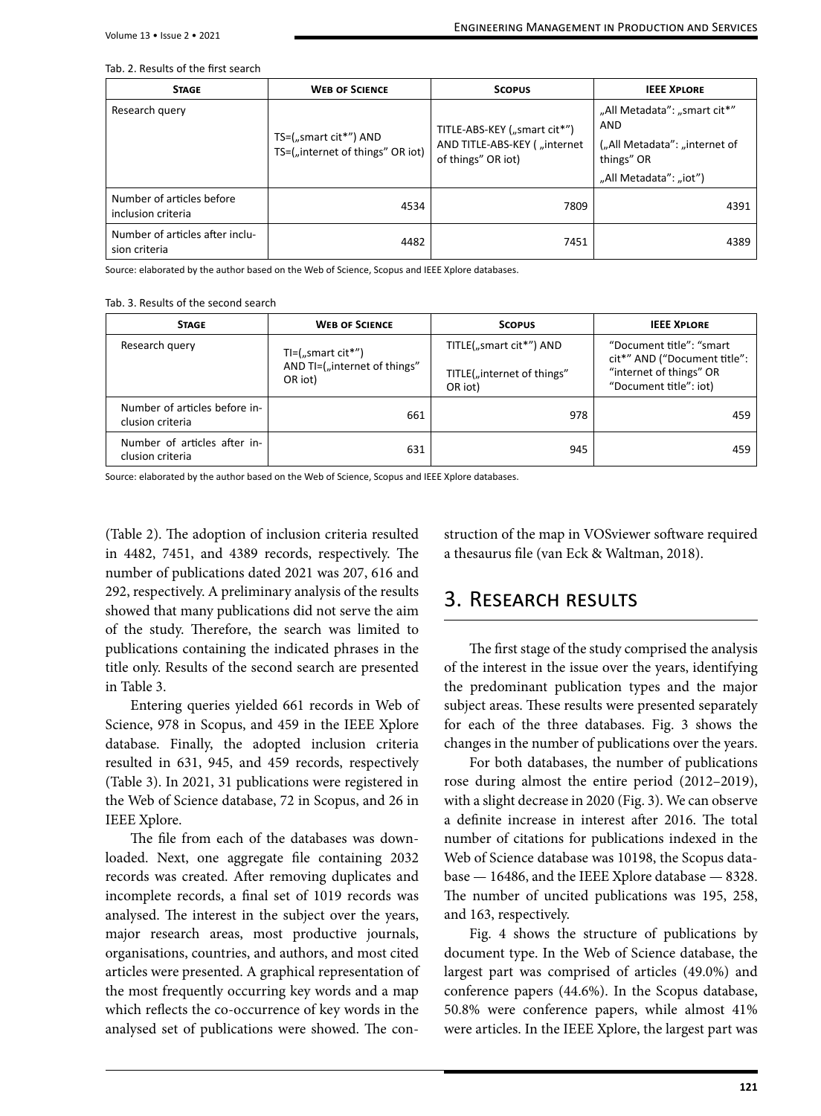#### Tab. 2. Results of the first search

| <b>STAGE</b>                                     | <b>WEB OF SCIENCE</b>                                     | <b>SCOPUS</b>                                                                       | <b>IEEE XPLORE</b>                                                                                           |
|--------------------------------------------------|-----------------------------------------------------------|-------------------------------------------------------------------------------------|--------------------------------------------------------------------------------------------------------------|
| Research query                                   | TS=("smart cit*") AND<br>TS=("internet of things" OR iot) | TITLE-ABS-KEY ("smart cit*")<br>AND TITLE-ABS-KEY ( "internet<br>of things" OR iot) | "All Metadata": "smart cit*"<br>AND<br>("All Metadata": "internet of<br>things" OR<br>"All Metadata": "iot") |
| Number of articles before<br>inclusion criteria  | 4534                                                      | 7809                                                                                | 4391                                                                                                         |
| Number of articles after inclu-<br>sion criteria | 4482                                                      | 7451                                                                                | 4389                                                                                                         |

Source: elaborated by the author based on the Web of Science, Scopus and IEEE Xplore databases.

Tab. 3. Results of the second search

| <b>STAGE</b>                                      | <b>WEB OF SCIENCE</b>                                             | <b>SCOPUS</b>                                                    | <b>IEEE XPLORE</b>                                                                                            |
|---------------------------------------------------|-------------------------------------------------------------------|------------------------------------------------------------------|---------------------------------------------------------------------------------------------------------------|
| Research query                                    | $TI=(n, smart cit**')$<br>AND TI=("internet of things"<br>OR iot) | TITLE("smart cit*") AND<br>TITLE("internet of things"<br>OR iot) | "Document title": "smart<br>cit*" AND ("Document title":<br>"internet of things" OR<br>"Document title": iot) |
| Number of articles before in-<br>clusion criteria | 661                                                               | 978                                                              | 459                                                                                                           |
| Number of articles after in-<br>clusion criteria  | 631                                                               | 945                                                              | 459                                                                                                           |

Source: elaborated by the author based on the Web of Science, Scopus and IEEE Xplore databases.

(Table 2). The adoption of inclusion criteria resulted in 4482, 7451, and 4389 records, respectively. The number of publications dated 2021 was 207, 616 and 292, respectively. A preliminary analysis of the results showed that many publications did not serve the aim of the study. Therefore, the search was limited to publications containing the indicated phrases in the title only. Results of the second search are presented in Table 3.

Entering queries yielded 661 records in Web of Science, 978 in Scopus, and 459 in the IEEE Xplore database. Finally, the adopted inclusion criteria resulted in 631, 945, and 459 records, respectively (Table 3). In 2021, 31 publications were registered in the Web of Science database, 72 in Scopus, and 26 in IEEE Xplore.

The file from each of the databases was downloaded. Next, one aggregate file containing 2032 records was created. After removing duplicates and incomplete records, a final set of 1019 records was analysed. The interest in the subject over the years, major research areas, most productive journals, organisations, countries, and authors, and most cited articles were presented. A graphical representation of the most frequently occurring key words and a map which reflects the co-occurrence of key words in the analysed set of publications were showed. The construction of the map in VOSviewer software required a thesaurus file (van Eck & Waltman, 2018).

### 3. Research results

The first stage of the study comprised the analysis of the interest in the issue over the years, identifying the predominant publication types and the major subject areas. These results were presented separately for each of the three databases. Fig. 3 shows the changes in the number of publications over the years.

For both databases, the number of publications rose during almost the entire period (2012–2019), with a slight decrease in 2020 (Fig. 3). We can observe a definite increase in interest after 2016. The total number of citations for publications indexed in the Web of Science database was 10198, the Scopus database — 16486, and the IEEE Xplore database — 8328. The number of uncited publications was 195, 258, and 163, respectively.

Fig. 4 shows the structure of publications by document type. In the Web of Science database, the largest part was comprised of articles (49.0%) and conference papers (44.6%). In the Scopus database, 50.8% were conference papers, while almost 41% were articles. In the IEEE Xplore, the largest part was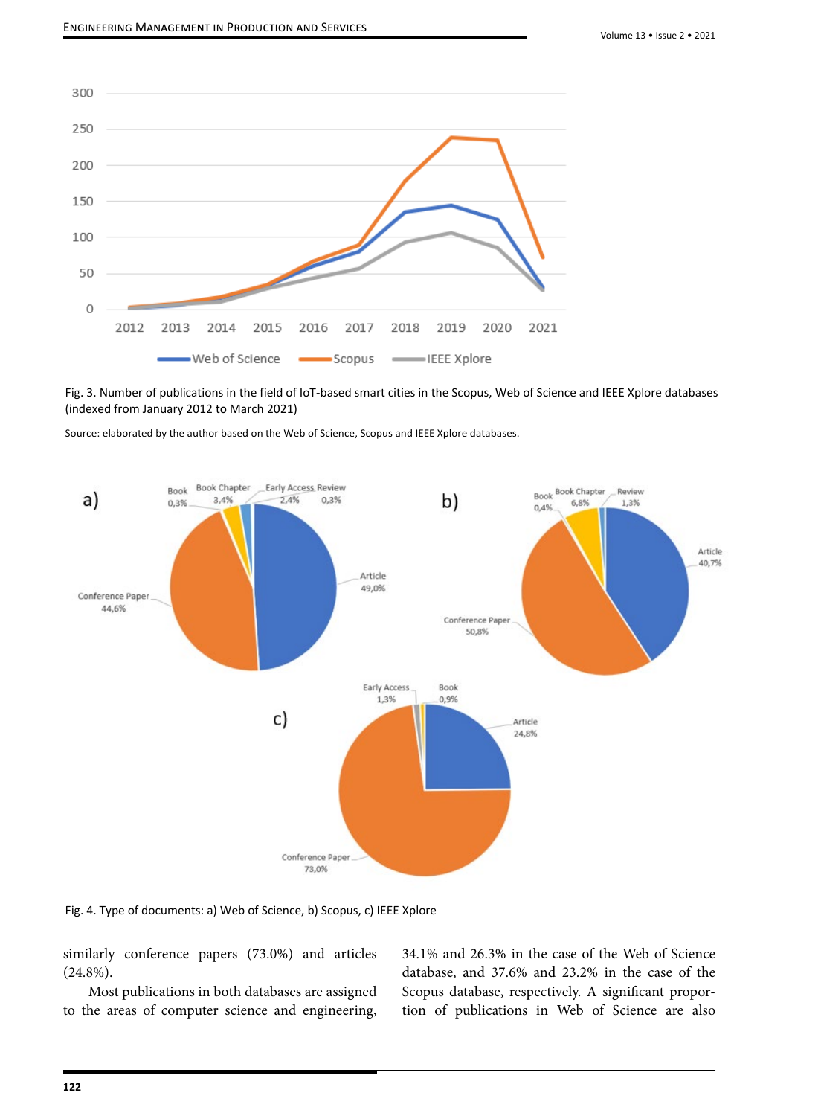

Fig. 3. Number of publications in the field of IoT-based smart cities in the Scopus, Web of Science and IEEE Xplore databases (indexed from January 2012 to March 2021)



Source: elaborated by the author based on the Web of Science, Scopus and IEEE Xplore databases.

Fig. 4. Type of documents: a) Web of Science, b) Scopus, c) IEEE Xplore

similarly conference papers (73.0%) and articles (24.8%).

Most publications in both databases are assigned to the areas of computer science and engineering, 34.1% and 26.3% in the case of the Web of Science database, and 37.6% and 23.2% in the case of the Scopus database, respectively. A significant proportion of publications in Web of Science are also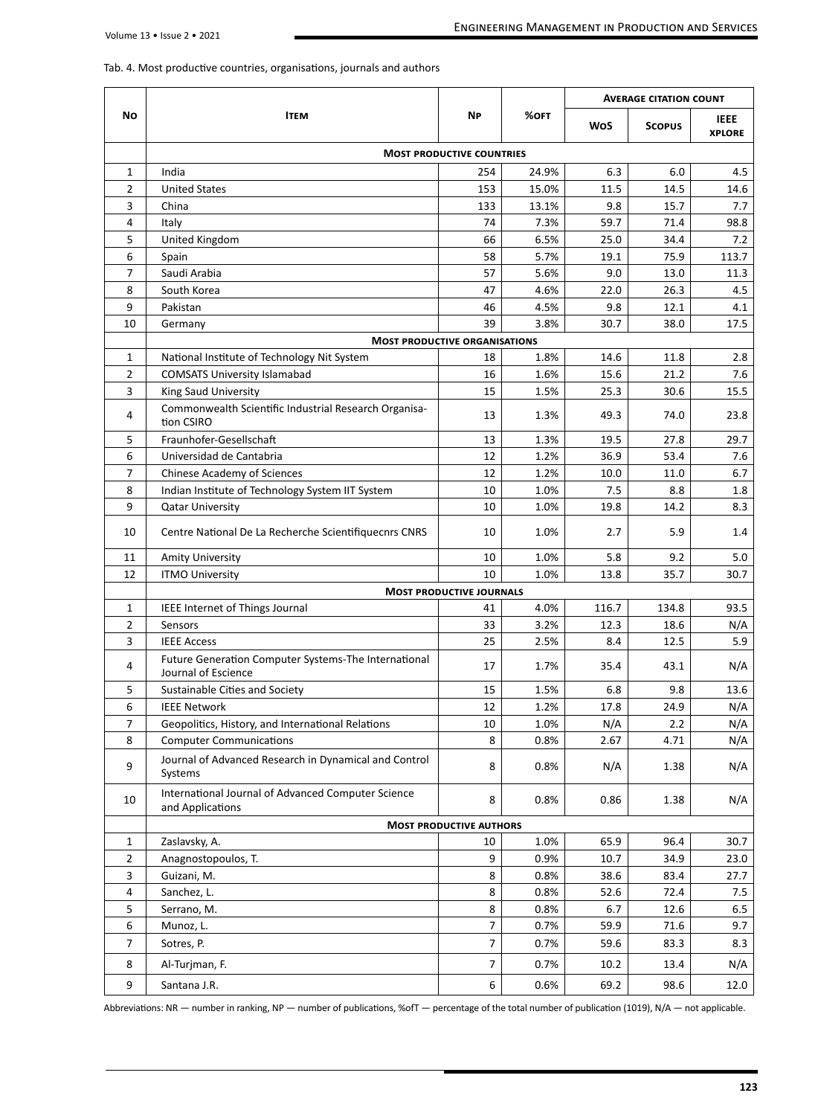Tab. 4. Most productive countries, organisations, journals and authors

|                |                                                                             |                                |       | <b>AVERAGE CITATION COUNT</b> |               |                              |  |  |  |
|----------------|-----------------------------------------------------------------------------|--------------------------------|-------|-------------------------------|---------------|------------------------------|--|--|--|
| No             | Ітем                                                                        | NР                             | %OFT  | <b>WOS</b>                    | <b>SCOPUS</b> | <b>IEEE</b><br><b>XPLORE</b> |  |  |  |
|                | <b>MOST PRODUCTIVE COUNTRIES</b>                                            |                                |       |                               |               |                              |  |  |  |
| 1              | India                                                                       | 254                            | 24.9% | 6.3                           | 6.0           | 4.5                          |  |  |  |
| 2              | <b>United States</b>                                                        | 153                            | 15.0% | 11.5                          | 14.5          | 14.6                         |  |  |  |
| 3              | China                                                                       | 133                            | 13.1% | 9.8                           | 15.7          | 7.7                          |  |  |  |
| 4              | Italy                                                                       | 74                             | 7.3%  | 59.7                          | 71.4          | 98.8                         |  |  |  |
| 5              | United Kingdom                                                              | 66                             | 6.5%  | 25.0                          | 34.4          | 7.2                          |  |  |  |
| 6              | Spain                                                                       | 58                             | 5.7%  | 19.1                          | 75.9          | 113.7                        |  |  |  |
| 7              | Saudi Arabia                                                                | 57                             | 5.6%  | 9.0                           | 13.0          | 11.3                         |  |  |  |
| 8              | South Korea                                                                 | 47                             | 4.6%  | 22.0                          | 26.3          | 4.5                          |  |  |  |
| 9              | Pakistan                                                                    | 46                             | 4.5%  | 9.8                           | 12.1          | 4.1                          |  |  |  |
| 10             | Germany                                                                     | 39                             | 3.8%  | 30.7                          | 38.0          | 17.5                         |  |  |  |
|                | <b>MOST PRODUCTIVE ORGANISATIONS</b>                                        |                                |       |                               |               |                              |  |  |  |
| 1              | National Institute of Technology Nit System                                 | 18                             | 1.8%  | 14.6                          | 11.8          | 2.8                          |  |  |  |
| $\overline{2}$ | <b>COMSATS University Islamabad</b>                                         | 16                             | 1.6%  | 15.6                          | 21.2          | 7.6                          |  |  |  |
| 3              | King Saud University                                                        | 15                             | 1.5%  | 25.3                          | 30.6          | 15.5                         |  |  |  |
| 4              | Commonwealth Scientific Industrial Research Organisa-<br>tion CSIRO         | 13                             | 1.3%  | 49.3                          | 74.0          | 23.8                         |  |  |  |
| 5              | Fraunhofer-Gesellschaft                                                     | 13                             | 1.3%  | 19.5                          | 27.8          | 29.7                         |  |  |  |
| 6              | Universidad de Cantabria                                                    | 12                             | 1.2%  | 36.9                          | 53.4          | 7.6                          |  |  |  |
| 7              | Chinese Academy of Sciences                                                 | 12                             | 1.2%  | 10.0                          | 11.0          | 6.7                          |  |  |  |
| 8              | Indian Institute of Technology System IIT System                            | 10                             | 1.0%  | 7.5                           | 8.8           | 1.8                          |  |  |  |
| 9              | <b>Qatar University</b>                                                     | 10                             | 1.0%  | 19.8                          | 14.2          | 8.3                          |  |  |  |
| 10             | Centre National De La Recherche Scientifique cnrs CNRS                      | 10                             | 1.0%  | 2.7                           | 5.9           | $1.4\,$                      |  |  |  |
| 11             | <b>Amity University</b>                                                     | 10                             | 1.0%  | 5.8                           | 9.2           | 5.0                          |  |  |  |
| 12             | <b>ITMO University</b>                                                      | 10                             | 1.0%  | 13.8                          | 35.7          | 30.7                         |  |  |  |
|                | <b>MOST PRODUCTIVE JOURNALS</b>                                             |                                |       |                               |               |                              |  |  |  |
| 1              | IEEE Internet of Things Journal                                             | 41                             | 4.0%  | 116.7                         | 134.8         | 93.5                         |  |  |  |
| $\overline{2}$ | Sensors                                                                     | 33                             | 3.2%  | 12.3                          | 18.6          | N/A                          |  |  |  |
| 3              | <b>IEEE Access</b>                                                          | 25                             | 2.5%  | 8.4                           | 12.5          | 5.9                          |  |  |  |
| 4              | Future Generation Computer Systems-The International<br>Journal of Escience | 17                             | 1.7%  | 35.4                          | 43.1          | N/A                          |  |  |  |
| 5              | Sustainable Cities and Society                                              | 15                             | 1.5%  | 6.8                           | 9.8           | 13.6                         |  |  |  |
| 6              | <b>IEEE Network</b>                                                         | 12                             | 1.2%  | 17.8                          | 24.9          | N/A                          |  |  |  |
| 7              | Geopolitics, History, and International Relations                           | 10                             | 1.0%  | N/A                           | 2.2           | N/A                          |  |  |  |
| 8              | <b>Computer Communications</b>                                              | 8                              | 0.8%  | 2.67                          | 4.71          | N/A                          |  |  |  |
| 9              | Journal of Advanced Research in Dynamical and Control<br>Systems            | 8                              | 0.8%  | N/A                           | 1.38          | N/A                          |  |  |  |
| 10             | International Journal of Advanced Computer Science<br>and Applications      | 8                              | 0.8%  | 0.86                          | 1.38          | N/A                          |  |  |  |
|                |                                                                             | <b>MOST PRODUCTIVE AUTHORS</b> |       |                               |               |                              |  |  |  |
| 1              | Zaslavsky, A.                                                               | 10                             | 1.0%  | 65.9                          | 96.4          | 30.7                         |  |  |  |
| 2              | Anagnostopoulos, T.                                                         | 9                              | 0.9%  | 10.7                          | 34.9          | 23.0                         |  |  |  |
| 3              | Guizani, M.                                                                 | 8                              | 0.8%  | 38.6                          | 83.4          | 27.7                         |  |  |  |
| 4              | Sanchez, L.                                                                 | 8                              | 0.8%  | 52.6                          | 72.4          | 7.5                          |  |  |  |
| 5              | Serrano, M.                                                                 | 8                              | 0.8%  | 6.7                           | 12.6          | 6.5                          |  |  |  |
| 6              | Munoz, L.                                                                   | 7                              | 0.7%  | 59.9                          | 71.6          | 9.7                          |  |  |  |
| 7              | Sotres, P.                                                                  | $\overline{7}$                 | 0.7%  | 59.6                          | 83.3          | 8.3                          |  |  |  |
|                |                                                                             | 7                              |       |                               |               |                              |  |  |  |
| 8              | Al-Turjman, F.                                                              |                                | 0.7%  | 10.2                          | 13.4          | N/A                          |  |  |  |
| 9              | Santana J.R.                                                                | 6                              | 0.6%  | 69.2                          | 98.6          | 12.0                         |  |  |  |

Abbreviations: NR — number in ranking, NP — number of publications, %ofT — percentage of the total number of publication (1019), N/A — not applicable.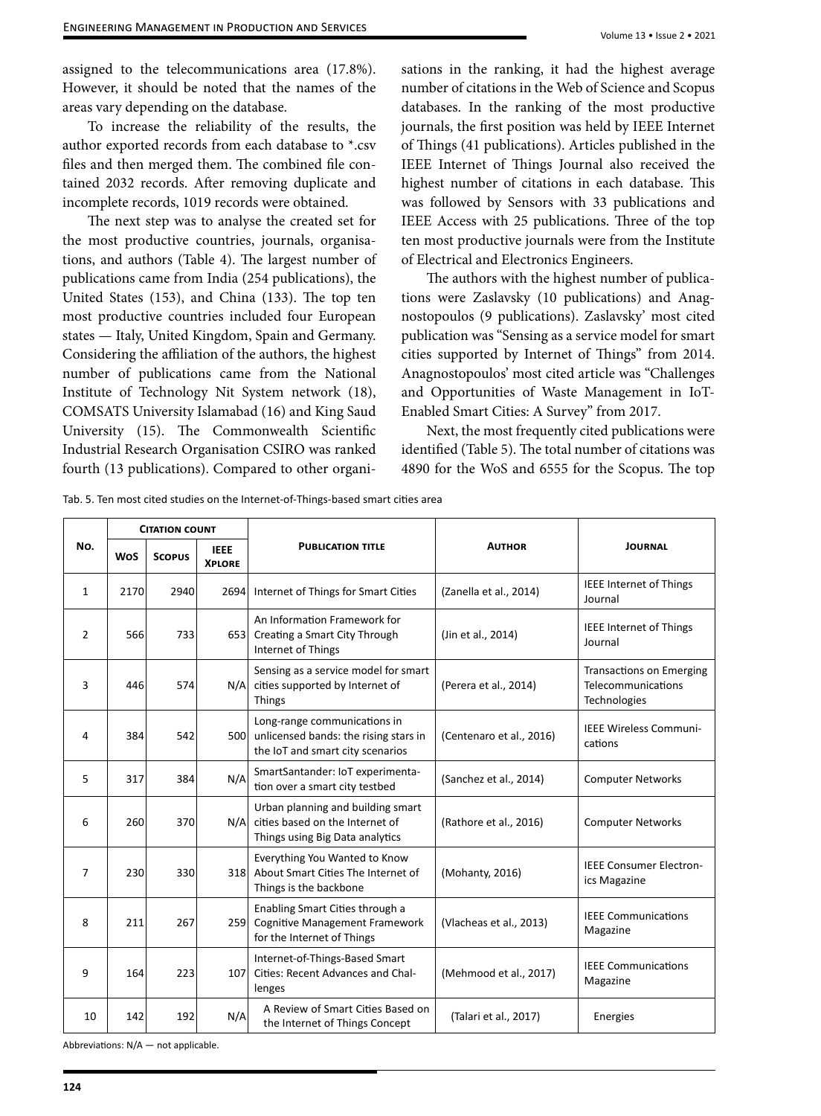assigned to the telecommunications area (17.8%). However, it should be noted that the names of the areas vary depending on the database.

To increase the reliability of the results, the author exported records from each database to \*.csv files and then merged them. The combined file contained 2032 records. After removing duplicate and incomplete records, 1019 records were obtained.

The next step was to analyse the created set for the most productive countries, journals, organisations, and authors (Table 4). The largest number of publications came from India (254 publications), the United States (153), and China (133). The top ten most productive countries included four European states — Italy, United Kingdom, Spain and Germany. Considering the affiliation of the authors, the highest number of publications came from the National Institute of Technology Nit System network (18), COMSATS University Islamabad (16) and King Saud University (15). The Commonwealth Scientific Industrial Research Organisation CSIRO was ranked fourth (13 publications). Compared to other organisations in the ranking, it had the highest average number of citations in the Web of Science and Scopus databases. In the ranking of the most productive journals, the first position was held by IEEE Internet of Things (41 publications). Articles published in the IEEE Internet of Things Journal also received the highest number of citations in each database. This was followed by Sensors with 33 publications and IEEE Access with 25 publications. Three of the top ten most productive journals were from the Institute of Electrical and Electronics Engineers.

The authors with the highest number of publications were Zaslavsky (10 publications) and Anagnostopoulos (9 publications). Zaslavsky' most cited publication was "Sensing as a service model for smart cities supported by Internet of Things" from 2014. Anagnostopoulos' most cited article was "Challenges and Opportunities of Waste Management in IoT-Enabled Smart Cities: A Survey" from 2017.

Next, the most frequently cited publications were identified (Table 5). The total number of citations was 4890 for the WoS and 6555 for the Scopus. The top

|  |  |  |  | Tab. 5. Ten most cited studies on the Internet-of-Things-based smart cities area |  |
|--|--|--|--|----------------------------------------------------------------------------------|--|
|--|--|--|--|----------------------------------------------------------------------------------|--|

| <b>CITATION COUNT</b> |            |               |                              |                                                                                                             |                          |                                                                       |
|-----------------------|------------|---------------|------------------------------|-------------------------------------------------------------------------------------------------------------|--------------------------|-----------------------------------------------------------------------|
| No.                   | <b>WOS</b> | <b>SCOPUS</b> | <b>IEEE</b><br><b>XPLORE</b> | <b>PUBLICATION TITLE</b>                                                                                    | <b>AUTHOR</b>            | <b>JOURNAL</b>                                                        |
| $\mathbf{1}$          | 2170       | 2940          | 2694                         | Internet of Things for Smart Cities                                                                         | (Zanella et al., 2014)   | <b>IEEE Internet of Things</b><br>Journal                             |
| $\overline{2}$        | 566        | 733           |                              | An Information Framework for<br>653 Creating a Smart City Through<br>Internet of Things                     | (Jin et al., 2014)       | <b>IEEE Internet of Things</b><br>Journal                             |
| 3                     | 446        | 574           | N/A                          | Sensing as a service model for smart<br>cities supported by Internet of<br><b>Things</b>                    | (Perera et al., 2014)    | <b>Transactions on Emerging</b><br>Telecommunications<br>Technologies |
| 4                     | 384        | 542           | 500                          | Long-range communications in<br>unlicensed bands: the rising stars in<br>the IoT and smart city scenarios   | (Centenaro et al., 2016) | <b>IEEE Wireless Communi-</b><br>cations                              |
| 5                     | 317        | 384           | N/A                          | SmartSantander: IoT experimenta-<br>tion over a smart city testbed                                          | (Sanchez et al., 2014)   | <b>Computer Networks</b>                                              |
| 6                     | 260        | 370           |                              | Urban planning and building smart<br>N/A cities based on the Internet of<br>Things using Big Data analytics | (Rathore et al., 2016)   | <b>Computer Networks</b>                                              |
| $\overline{7}$        | 230        | 330           | 318                          | Everything You Wanted to Know<br>About Smart Cities The Internet of<br>Things is the backbone               | (Mohanty, 2016)          | <b>IEEE Consumer Electron-</b><br>ics Magazine                        |
| 8                     | 211        | 267           | 259                          | Enabling Smart Cities through a<br><b>Cognitive Management Framework</b><br>for the Internet of Things      | (Vlacheas et al., 2013)  | <b>IEEE Communications</b><br>Magazine                                |
| 9                     | 164        | 223           | 107                          | Internet-of-Things-Based Smart<br>Cities: Recent Advances and Chal-<br>lenges                               | (Mehmood et al., 2017)   | <b>IEEE Communications</b><br>Magazine                                |
| 10                    | 142        | 192           | N/A                          | A Review of Smart Cities Based on<br>the Internet of Things Concept                                         | (Talari et al., 2017)    | Energies                                                              |

Abbreviations: N/A — not applicable.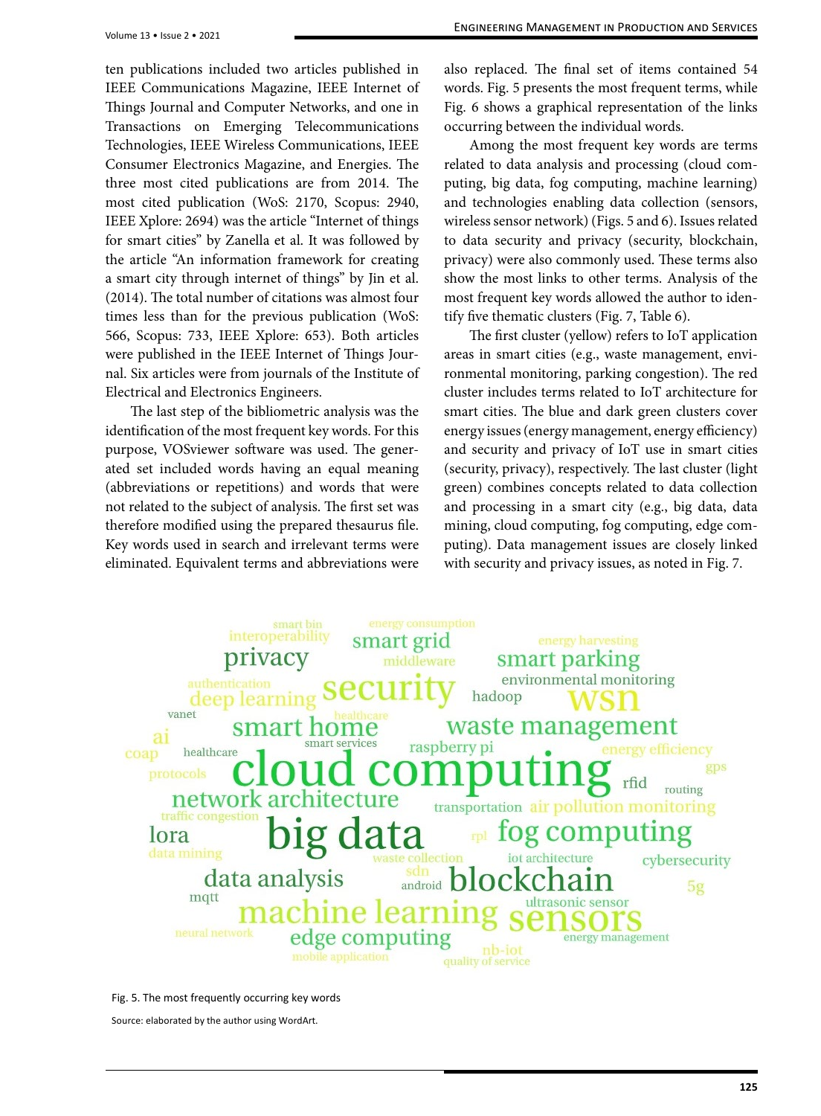ten publications included two articles published in IEEE Communications Magazine, IEEE Internet of Things Journal and Computer Networks, and one in Transactions on Emerging Telecommunications Technologies, IEEE Wireless Communications, IEEE Consumer Electronics Magazine, and Energies. The three most cited publications are from 2014. The most cited publication (WoS: 2170, Scopus: 2940, IEEE Xplore: 2694) was the article "Internet of things for smart cities" by Zanella et al. It was followed by the article "An information framework for creating a smart city through internet of things" by Jin et al. (2014). The total number of citations was almost four times less than for the previous publication (WoS: 566, Scopus: 733, IEEE Xplore: 653). Both articles were published in the IEEE Internet of Things Journal. Six articles were from journals of the Institute of Electrical and Electronics Engineers.

The last step of the bibliometric analysis was the identification of the most frequent key words. For this purpose, VOSviewer software was used. The generated set included words having an equal meaning (abbreviations or repetitions) and words that were not related to the subject of analysis. The first set was therefore modified using the prepared thesaurus file. Key words used in search and irrelevant terms were eliminated. Equivalent terms and abbreviations were also replaced. The final set of items contained 54 words. Fig. 5 presents the most frequent terms, while Fig. 6 shows a graphical representation of the links occurring between the individual words.

Among the most frequent key words are terms related to data analysis and processing (cloud computing, big data, fog computing, machine learning) and technologies enabling data collection (sensors, wireless sensor network) (Figs. 5 and 6). Issues related to data security and privacy (security, blockchain, privacy) were also commonly used. These terms also show the most links to other terms. Analysis of the most frequent key words allowed the author to identify five thematic clusters (Fig. 7, Table 6).

The first cluster (yellow) refers to IoT application areas in smart cities (e.g., waste management, environmental monitoring, parking congestion). The red cluster includes terms related to IoT architecture for smart cities. The blue and dark green clusters cover energy issues (energy management, energy efficiency) and security and privacy of IoT use in smart cities (security, privacy), respectively. The last cluster (light green) combines concepts related to data collection and processing in a smart city (e.g., big data, data mining, cloud computing, fog computing, edge computing). Data management issues are closely linked with security and privacy issues, as noted in Fig. 7.



Fig. 5. The most frequently occurring key words

Source: elaborated by the author using WordArt.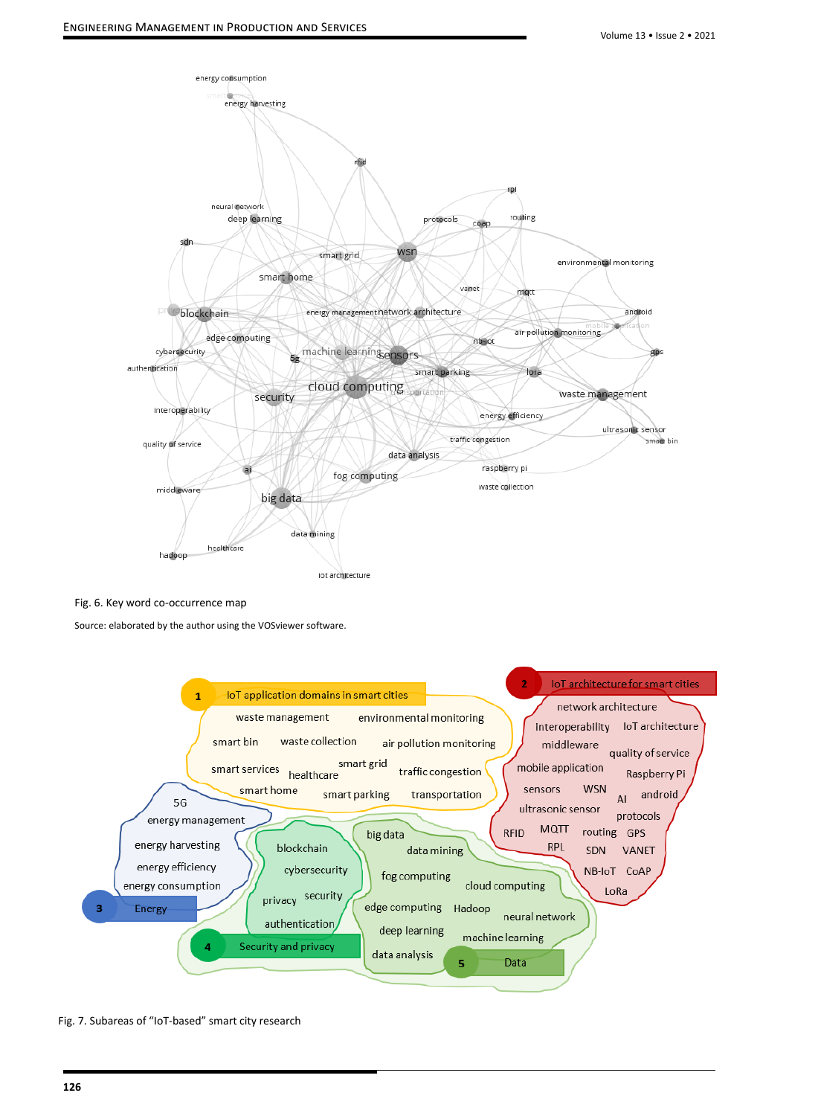

Fig. 6. Key word co-occurrence map

Source: elaborated by the author using the VOSviewer software.



Fig. 7. Subareas of "IoT-based" smart city research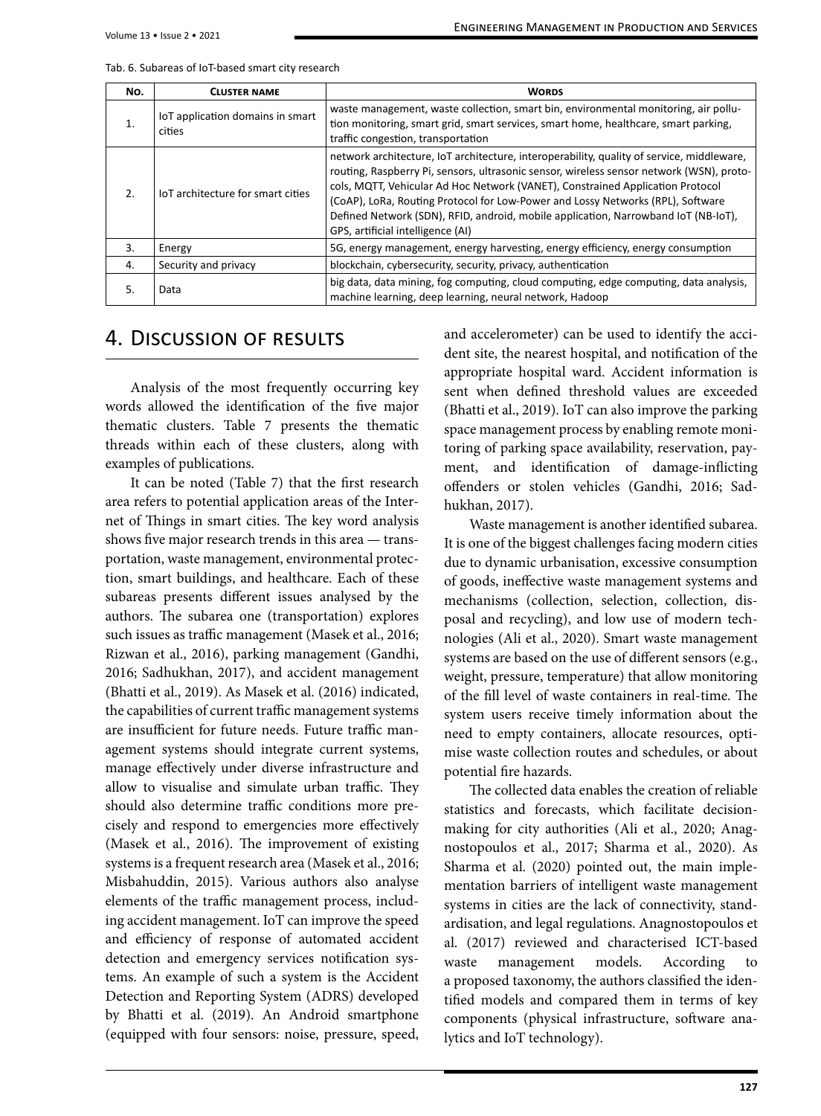| NO. | <b>CLUSTER NAME</b>                        | <b>WORDS</b>                                                                                                                                                                                                                                                                                                                                                                                                                                                                          |
|-----|--------------------------------------------|---------------------------------------------------------------------------------------------------------------------------------------------------------------------------------------------------------------------------------------------------------------------------------------------------------------------------------------------------------------------------------------------------------------------------------------------------------------------------------------|
|     | IoT application domains in smart<br>cities | waste management, waste collection, smart bin, environmental monitoring, air pollu-<br>tion monitoring, smart grid, smart services, smart home, healthcare, smart parking,<br>traffic congestion, transportation                                                                                                                                                                                                                                                                      |
| 2.  | IoT architecture for smart cities          | network architecture, IoT architecture, interoperability, quality of service, middleware,<br>routing, Raspberry Pi, sensors, ultrasonic sensor, wireless sensor network (WSN), proto-<br>cols, MQTT, Vehicular Ad Hoc Network (VANET), Constrained Application Protocol<br>(CoAP), LoRa, Routing Protocol for Low-Power and Lossy Networks (RPL), Software<br>Defined Network (SDN), RFID, android, mobile application, Narrowband IoT (NB-IoT),<br>GPS, artificial intelligence (AI) |
| 3.  | Energy                                     | 5G, energy management, energy harvesting, energy efficiency, energy consumption                                                                                                                                                                                                                                                                                                                                                                                                       |
| 4.  | Security and privacy                       | blockchain, cybersecurity, security, privacy, authentication                                                                                                                                                                                                                                                                                                                                                                                                                          |
| 5.  | Data                                       | big data, data mining, fog computing, cloud computing, edge computing, data analysis,<br>machine learning, deep learning, neural network, Hadoop                                                                                                                                                                                                                                                                                                                                      |

Tab. 6. Subareas of IoT-based smart city research

### 4. Discussion of results

Analysis of the most frequently occurring key words allowed the identification of the five major thematic clusters. Table 7 presents the thematic threads within each of these clusters, along with examples of publications.

It can be noted (Table 7) that the first research area refers to potential application areas of the Internet of Things in smart cities. The key word analysis shows five major research trends in this area — transportation, waste management, environmental protection, smart buildings, and healthcare. Each of these subareas presents different issues analysed by the authors. The subarea one (transportation) explores such issues as traffic management (Masek et al., 2016; Rizwan et al., 2016), parking management (Gandhi, 2016; Sadhukhan, 2017), and accident management (Bhatti et al., 2019). As Masek et al. (2016) indicated, the capabilities of current traffic management systems are insufficient for future needs. Future traffic management systems should integrate current systems, manage effectively under diverse infrastructure and allow to visualise and simulate urban traffic. They should also determine traffic conditions more precisely and respond to emergencies more effectively (Masek et al., 2016). The improvement of existing systems is a frequent research area (Masek et al., 2016; Misbahuddin, 2015). Various authors also analyse elements of the traffic management process, including accident management. IoT can improve the speed and efficiency of response of automated accident detection and emergency services notification systems. An example of such a system is the Accident Detection and Reporting System (ADRS) developed by Bhatti et al. (2019). An Android smartphone (equipped with four sensors: noise, pressure, speed, and accelerometer) can be used to identify the accident site, the nearest hospital, and notification of the appropriate hospital ward. Accident information is sent when defined threshold values are exceeded (Bhatti et al., 2019). IoT can also improve the parking space management process by enabling remote monitoring of parking space availability, reservation, payment, and identification of damage-inflicting offenders or stolen vehicles (Gandhi, 2016; Sadhukhan, 2017).

Waste management is another identified subarea. It is one of the biggest challenges facing modern cities due to dynamic urbanisation, excessive consumption of goods, ineffective waste management systems and mechanisms (collection, selection, collection, disposal and recycling), and low use of modern technologies (Ali et al., 2020). Smart waste management systems are based on the use of different sensors (e.g., weight, pressure, temperature) that allow monitoring of the fill level of waste containers in real-time. The system users receive timely information about the need to empty containers, allocate resources, optimise waste collection routes and schedules, or about potential fire hazards.

The collected data enables the creation of reliable statistics and forecasts, which facilitate decisionmaking for city authorities (Ali et al., 2020; Anagnostopoulos et al., 2017; Sharma et al., 2020). As Sharma et al. (2020) pointed out, the main implementation barriers of intelligent waste management systems in cities are the lack of connectivity, standardisation, and legal regulations. Anagnostopoulos et al. (2017) reviewed and characterised ICT-based waste management models. According to a proposed taxonomy, the authors classified the identified models and compared them in terms of key components (physical infrastructure, software analytics and IoT technology).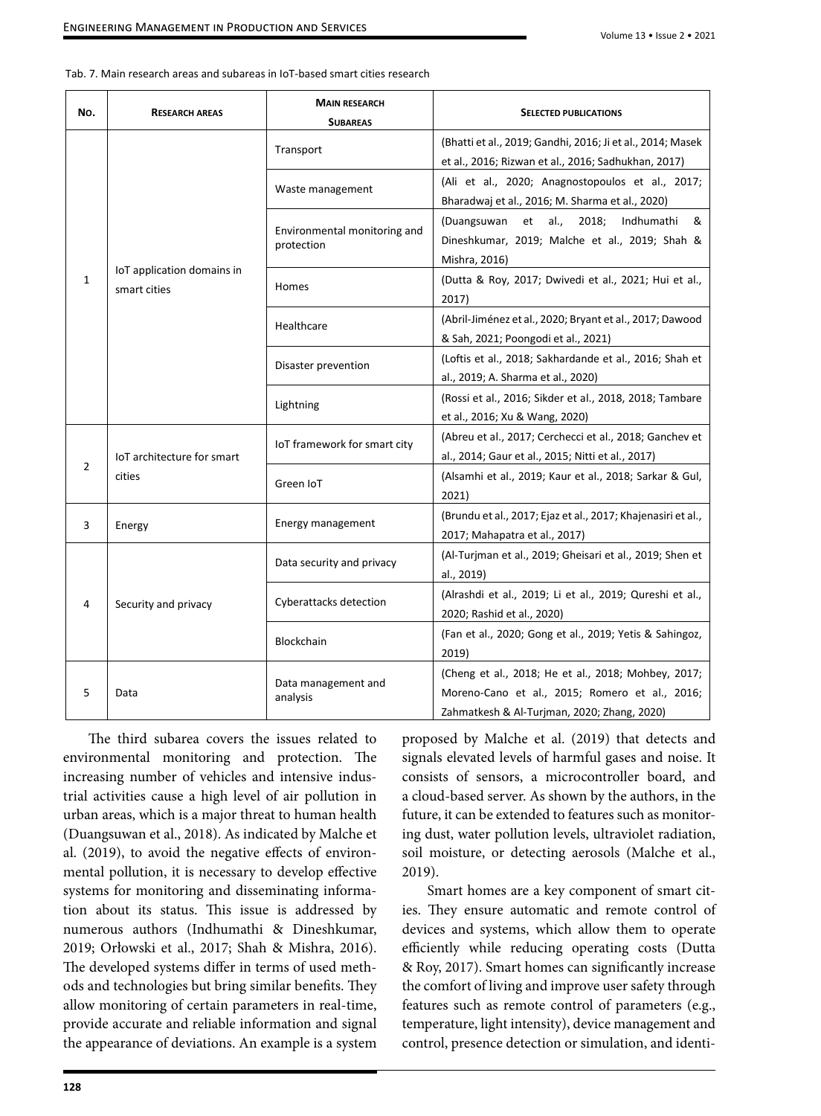| Tab. 7. Main research areas and subareas in IoT-based smart cities research |  |
|-----------------------------------------------------------------------------|--|
|-----------------------------------------------------------------------------|--|

| No.            | <b>RESEARCH AREAS</b>                      | <b>MAIN RESEARCH</b><br><b>SUBAREAS</b>    | <b>SELECTED PUBLICATIONS</b>                                                                                                                         |
|----------------|--------------------------------------------|--------------------------------------------|------------------------------------------------------------------------------------------------------------------------------------------------------|
|                |                                            | Transport                                  | (Bhatti et al., 2019; Gandhi, 2016; Ji et al., 2014; Masek<br>et al., 2016; Rizwan et al., 2016; Sadhukhan, 2017)                                    |
|                | IoT application domains in<br>smart cities | Waste management                           | (Ali et al., 2020; Anagnostopoulos et al., 2017;<br>Bharadwaj et al., 2016; M. Sharma et al., 2020)                                                  |
|                |                                            | Environmental monitoring and<br>protection | al.,<br>et<br>2018;<br>Indhumathi<br>(Duangsuwan<br>&<br>Dineshkumar, 2019; Malche et al., 2019; Shah &<br>Mishra, 2016)                             |
| $\mathbf{1}$   |                                            | Homes                                      | (Dutta & Roy, 2017; Dwivedi et al., 2021; Hui et al.,<br>2017)                                                                                       |
|                |                                            | Healthcare                                 | (Abril-Jiménez et al., 2020; Bryant et al., 2017; Dawood<br>& Sah, 2021; Poongodi et al., 2021)                                                      |
|                |                                            | Disaster prevention                        | (Loftis et al., 2018; Sakhardande et al., 2016; Shah et<br>al., 2019; A. Sharma et al., 2020)                                                        |
|                |                                            | Lightning                                  | (Rossi et al., 2016; Sikder et al., 2018, 2018; Tambare<br>et al., 2016; Xu & Wang, 2020)                                                            |
|                | IoT architecture for smart<br>cities       | IoT framework for smart city               | (Abreu et al., 2017; Cerchecci et al., 2018; Ganchev et<br>al., 2014; Gaur et al., 2015; Nitti et al., 2017)                                         |
| $\overline{2}$ |                                            | Green IoT                                  | (Alsamhi et al., 2019; Kaur et al., 2018; Sarkar & Gul,<br>2021)                                                                                     |
| 3              | Energy                                     | Energy management                          | (Brundu et al., 2017; Ejaz et al., 2017; Khajenasiri et al.,<br>2017; Mahapatra et al., 2017)                                                        |
|                | Security and privacy                       | Data security and privacy                  | (Al-Turjman et al., 2019; Gheisari et al., 2019; Shen et<br>al., 2019)                                                                               |
| 4              |                                            | Cyberattacks detection                     | (Alrashdi et al., 2019; Li et al., 2019; Qureshi et al.,<br>2020; Rashid et al., 2020)                                                               |
|                |                                            | Blockchain                                 | (Fan et al., 2020; Gong et al., 2019; Yetis & Sahingoz,<br>2019)                                                                                     |
| 5              | Data                                       | Data management and<br>analysis            | (Cheng et al., 2018; He et al., 2018; Mohbey, 2017;<br>Moreno-Cano et al., 2015; Romero et al., 2016;<br>Zahmatkesh & Al-Turjman, 2020; Zhang, 2020) |

The third subarea covers the issues related to environmental monitoring and protection. The increasing number of vehicles and intensive industrial activities cause a high level of air pollution in urban areas, which is a major threat to human health (Duangsuwan et al., 2018). As indicated by Malche et al. (2019), to avoid the negative effects of environmental pollution, it is necessary to develop effective systems for monitoring and disseminating information about its status. This issue is addressed by numerous authors (Indhumathi & Dineshkumar, 2019; Orłowski et al., 2017; Shah & Mishra, 2016). The developed systems differ in terms of used methods and technologies but bring similar benefits. They allow monitoring of certain parameters in real-time, provide accurate and reliable information and signal the appearance of deviations. An example is a system proposed by Malche et al. (2019) that detects and signals elevated levels of harmful gases and noise. It consists of sensors, a microcontroller board, and a cloud-based server. As shown by the authors, in the future, it can be extended to features such as monitoring dust, water pollution levels, ultraviolet radiation, soil moisture, or detecting aerosols (Malche et al., 2019).

Smart homes are a key component of smart cities. They ensure automatic and remote control of devices and systems, which allow them to operate efficiently while reducing operating costs (Dutta & Roy, 2017). Smart homes can significantly increase the comfort of living and improve user safety through features such as remote control of parameters (e.g., temperature, light intensity), device management and control, presence detection or simulation, and identi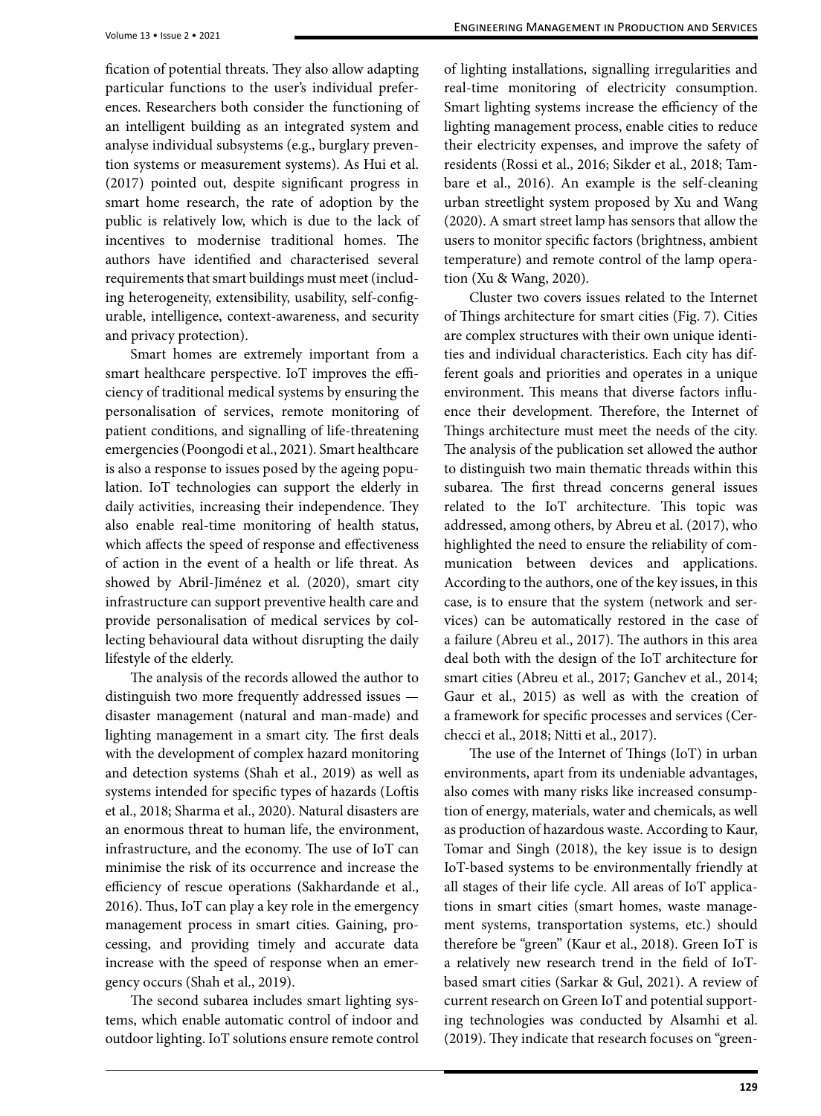fication of potential threats. They also allow adapting particular functions to the user's individual preferences. Researchers both consider the functioning of an intelligent building as an integrated system and analyse individual subsystems (e.g., burglary prevention systems or measurement systems). As Hui et al. (2017) pointed out, despite significant progress in smart home research, the rate of adoption by the public is relatively low, which is due to the lack of incentives to modernise traditional homes. The authors have identified and characterised several requirements that smart buildings must meet (including heterogeneity, extensibility, usability, self-configurable, intelligence, context-awareness, and security and privacy protection).

Smart homes are extremely important from a smart healthcare perspective. IoT improves the efficiency of traditional medical systems by ensuring the personalisation of services, remote monitoring of patient conditions, and signalling of life-threatening emergencies (Poongodi et al., 2021). Smart healthcare is also a response to issues posed by the ageing population. IoT technologies can support the elderly in daily activities, increasing their independence. They also enable real-time monitoring of health status, which affects the speed of response and effectiveness of action in the event of a health or life threat. As showed by Abril-Jiménez et al. (2020), smart city infrastructure can support preventive health care and provide personalisation of medical services by collecting behavioural data without disrupting the daily lifestyle of the elderly.

The analysis of the records allowed the author to distinguish two more frequently addressed issues disaster management (natural and man-made) and lighting management in a smart city. The first deals with the development of complex hazard monitoring and detection systems (Shah et al., 2019) as well as systems intended for specific types of hazards (Loftis et al., 2018; Sharma et al., 2020). Natural disasters are an enormous threat to human life, the environment, infrastructure, and the economy. The use of IoT can minimise the risk of its occurrence and increase the efficiency of rescue operations (Sakhardande et al., 2016). Thus, IoT can play a key role in the emergency management process in smart cities. Gaining, processing, and providing timely and accurate data increase with the speed of response when an emergency occurs (Shah et al., 2019).

The second subarea includes smart lighting systems, which enable automatic control of indoor and outdoor lighting. IoT solutions ensure remote control of lighting installations, signalling irregularities and real-time monitoring of electricity consumption. Smart lighting systems increase the efficiency of the lighting management process, enable cities to reduce their electricity expenses, and improve the safety of residents (Rossi et al., 2016; Sikder et al., 2018; Tambare et al., 2016). An example is the self-cleaning urban streetlight system proposed by Xu and Wang (2020). A smart street lamp has sensors that allow the users to monitor specific factors (brightness, ambient temperature) and remote control of the lamp operation (Xu & Wang, 2020).

Cluster two covers issues related to the Internet of Things architecture for smart cities (Fig. 7). Cities are complex structures with their own unique identities and individual characteristics. Each city has different goals and priorities and operates in a unique environment. This means that diverse factors influence their development. Therefore, the Internet of Things architecture must meet the needs of the city. The analysis of the publication set allowed the author to distinguish two main thematic threads within this subarea. The first thread concerns general issues related to the IoT architecture. This topic was addressed, among others, by Abreu et al. (2017), who highlighted the need to ensure the reliability of communication between devices and applications. According to the authors, one of the key issues, in this case, is to ensure that the system (network and services) can be automatically restored in the case of a failure (Abreu et al., 2017). The authors in this area deal both with the design of the IoT architecture for smart cities (Abreu et al., 2017; Ganchev et al., 2014; Gaur et al., 2015) as well as with the creation of a framework for specific processes and services (Cerchecci et al., 2018; Nitti et al., 2017).

The use of the Internet of Things (IoT) in urban environments, apart from its undeniable advantages, also comes with many risks like increased consumption of energy, materials, water and chemicals, as well as production of hazardous waste. According to Kaur, Tomar and Singh (2018), the key issue is to design IoT-based systems to be environmentally friendly at all stages of their life cycle. All areas of IoT applications in smart cities (smart homes, waste management systems, transportation systems, etc.) should therefore be "green" (Kaur et al., 2018). Green IoT is a relatively new research trend in the field of IoTbased smart cities (Sarkar & Gul, 2021). A review of current research on Green IoT and potential supporting technologies was conducted by Alsamhi et al. (2019). They indicate that research focuses on "green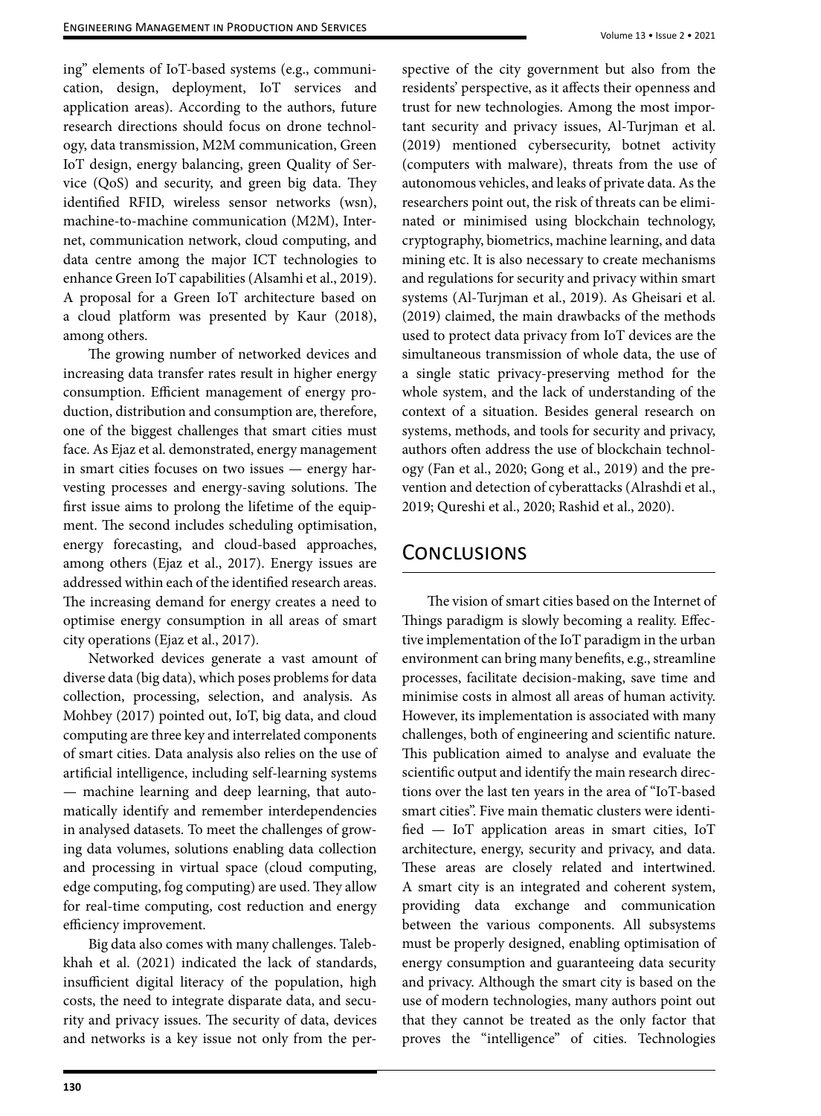ing" elements of IoT-based systems (e.g., communication, design, deployment, IoT services and application areas). According to the authors, future research directions should focus on drone technology, data transmission, M2M communication, Green IoT design, energy balancing, green Quality of Service (QoS) and security, and green big data. They identified RFID, wireless sensor networks (wsn), machine-to-machine communication (M2M), Internet, communication network, cloud computing, and data centre among the major ICT technologies to enhance Green IoT capabilities (Alsamhi et al., 2019). A proposal for a Green IoT architecture based on a cloud platform was presented by Kaur (2018), among others.

The growing number of networked devices and increasing data transfer rates result in higher energy consumption. Efficient management of energy production, distribution and consumption are, therefore, one of the biggest challenges that smart cities must face. As Ejaz et al. demonstrated, energy management in smart cities focuses on two issues — energy harvesting processes and energy-saving solutions. The first issue aims to prolong the lifetime of the equipment. The second includes scheduling optimisation, energy forecasting, and cloud-based approaches, among others (Ejaz et al., 2017). Energy issues are addressed within each of the identified research areas. The increasing demand for energy creates a need to optimise energy consumption in all areas of smart city operations (Ejaz et al., 2017).

Networked devices generate a vast amount of diverse data (big data), which poses problems for data collection, processing, selection, and analysis. As Mohbey (2017) pointed out, IoT, big data, and cloud computing are three key and interrelated components of smart cities. Data analysis also relies on the use of artificial intelligence, including self-learning systems — machine learning and deep learning, that automatically identify and remember interdependencies in analysed datasets. To meet the challenges of growing data volumes, solutions enabling data collection and processing in virtual space (cloud computing, edge computing, fog computing) are used. They allow for real-time computing, cost reduction and energy efficiency improvement.

Big data also comes with many challenges. Talebkhah et al. (2021) indicated the lack of standards, insufficient digital literacy of the population, high costs, the need to integrate disparate data, and security and privacy issues. The security of data, devices and networks is a key issue not only from the per-

spective of the city government but also from the residents' perspective, as it affects their openness and trust for new technologies. Among the most important security and privacy issues, Al-Turjman et al. (2019) mentioned cybersecurity, botnet activity (computers with malware), threats from the use of autonomous vehicles, and leaks of private data. As the researchers point out, the risk of threats can be eliminated or minimised using blockchain technology, cryptography, biometrics, machine learning, and data mining etc. It is also necessary to create mechanisms and regulations for security and privacy within smart systems (Al-Turjman et al., 2019). As Gheisari et al. (2019) claimed, the main drawbacks of the methods used to protect data privacy from IoT devices are the simultaneous transmission of whole data, the use of a single static privacy-preserving method for the whole system, and the lack of understanding of the context of a situation. Besides general research on systems, methods, and tools for security and privacy, authors often address the use of blockchain technology (Fan et al., 2020; Gong et al., 2019) and the prevention and detection of cyberattacks (Alrashdi et al., 2019; Qureshi et al., 2020; Rashid et al., 2020).

# **CONCLUSIONS**

The vision of smart cities based on the Internet of Things paradigm is slowly becoming a reality. Effective implementation of the IoT paradigm in the urban environment can bring many benefits, e.g., streamline processes, facilitate decision-making, save time and minimise costs in almost all areas of human activity. However, its implementation is associated with many challenges, both of engineering and scientific nature. This publication aimed to analyse and evaluate the scientific output and identify the main research directions over the last ten years in the area of "IoT-based smart cities". Five main thematic clusters were identified — IoT application areas in smart cities, IoT architecture, energy, security and privacy, and data. These areas are closely related and intertwined. A smart city is an integrated and coherent system, providing data exchange and communication between the various components. All subsystems must be properly designed, enabling optimisation of energy consumption and guaranteeing data security and privacy. Although the smart city is based on the use of modern technologies, many authors point out that they cannot be treated as the only factor that proves the "intelligence" of cities. Technologies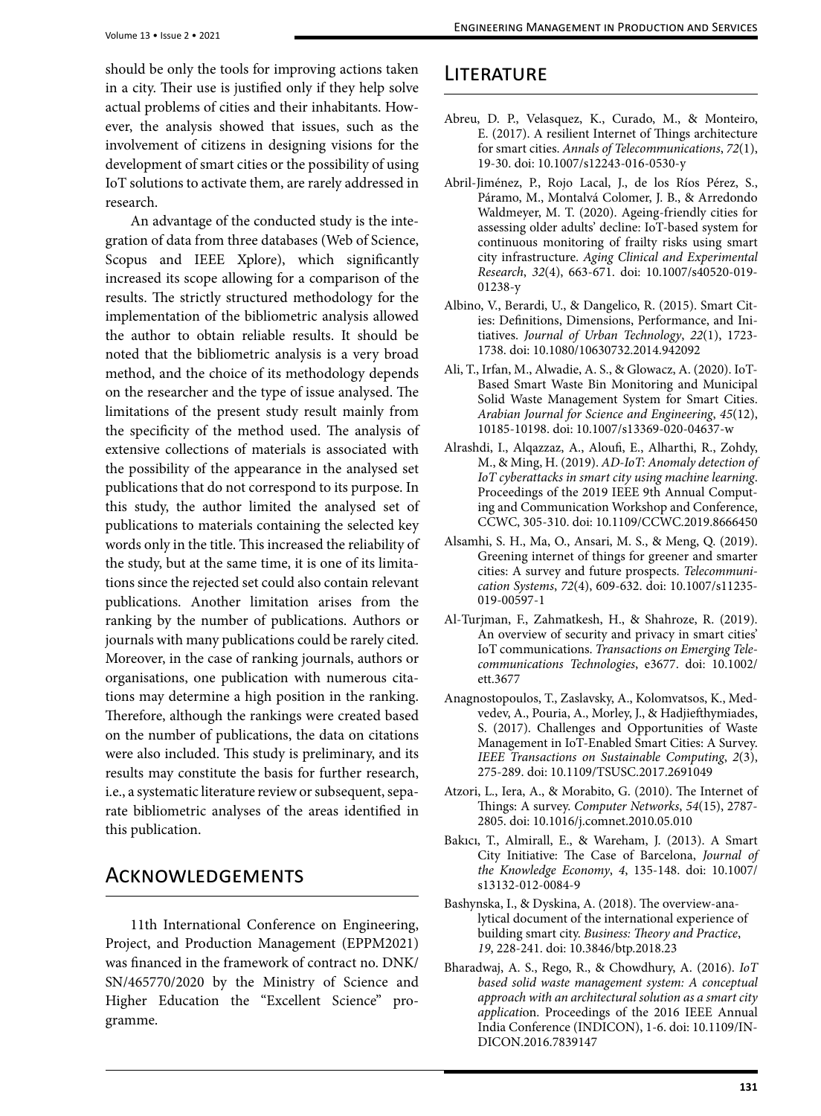should be only the tools for improving actions taken in a city. Their use is justified only if they help solve actual problems of cities and their inhabitants. However, the analysis showed that issues, such as the involvement of citizens in designing visions for the development of smart cities or the possibility of using IoT solutions to activate them, are rarely addressed in research.

An advantage of the conducted study is the integration of data from three databases (Web of Science, Scopus and IEEE Xplore), which significantly increased its scope allowing for a comparison of the results. The strictly structured methodology for the implementation of the bibliometric analysis allowed the author to obtain reliable results. It should be noted that the bibliometric analysis is a very broad method, and the choice of its methodology depends on the researcher and the type of issue analysed. The limitations of the present study result mainly from the specificity of the method used. The analysis of extensive collections of materials is associated with the possibility of the appearance in the analysed set publications that do not correspond to its purpose. In this study, the author limited the analysed set of publications to materials containing the selected key words only in the title. This increased the reliability of the study, but at the same time, it is one of its limitations since the rejected set could also contain relevant publications. Another limitation arises from the ranking by the number of publications. Authors or journals with many publications could be rarely cited. Moreover, in the case of ranking journals, authors or organisations, one publication with numerous citations may determine a high position in the ranking. Therefore, although the rankings were created based on the number of publications, the data on citations were also included. This study is preliminary, and its results may constitute the basis for further research, i.e., a systematic literature review or subsequent, separate bibliometric analyses of the areas identified in this publication.

# Acknowledgements

11th International Conference on Engineering, Project, and Production Management (EPPM2021) was financed in the framework of contract no. DNK/ SN/465770/2020 by the Ministry of Science and Higher Education the "Excellent Science" programme.

## **LITERATURE**

- Abreu, D. P., Velasquez, K., Curado, M., & Monteiro, E. (2017). A resilient Internet of Things architecture for smart cities. *Annals of Telecommunications*, *72*(1), 19-30. doi: 10.1007/s12243-016-0530-y
- Abril-Jiménez, P., Rojo Lacal, J., de los Ríos Pérez, S., Páramo, M., Montalvá Colomer, J. B., & Arredondo Waldmeyer, M. T. (2020). Ageing-friendly cities for assessing older adults' decline: IoT-based system for continuous monitoring of frailty risks using smart city infrastructure. *Aging Clinical and Experimental Research*, *32*(4), 663-671. doi: 10.1007/s40520-019- 01238-y
- Albino, V., Berardi, U., & Dangelico, R. (2015). Smart Cities: Definitions, Dimensions, Performance, and Initiatives. *Journal of Urban Technology*, *22*(1), 1723- 1738. doi: 10.1080/10630732.2014.942092
- Ali, T., Irfan, M., Alwadie, A. S., & Glowacz, A. (2020). IoT-Based Smart Waste Bin Monitoring and Municipal Solid Waste Management System for Smart Cities. *Arabian Journal for Science and Engineering*, *45*(12), 10185-10198. doi: 10.1007/s13369-020-04637-w
- Alrashdi, I., Alqazzaz, A., Aloufi, E., Alharthi, R., Zohdy, M., & Ming, H. (2019). *AD-IoT: Anomaly detection of IoT cyberattacks in smart city using machine learning*. Proceedings of the 2019 IEEE 9th Annual Computing and Communication Workshop and Conference, CCWC, 305-310. doi: 10.1109/CCWC.2019.8666450
- Alsamhi, S. H., Ma, O., Ansari, M. S., & Meng, Q. (2019). Greening internet of things for greener and smarter cities: A survey and future prospects. *Telecommunication Systems*, *72*(4), 609-632. doi: 10.1007/s11235- 019-00597-1
- Al-Turjman, F., Zahmatkesh, H., & Shahroze, R. (2019). An overview of security and privacy in smart cities' IoT communications. *Transactions on Emerging Telecommunications Technologies*, e3677. doi: 10.1002/ ett.3677
- Anagnostopoulos, T., Zaslavsky, A., Kolomvatsos, K., Medvedev, A., Pouria, A., Morley, J., & Hadjiefthymiades, S. (2017). Challenges and Opportunities of Waste Management in IoT-Enabled Smart Cities: A Survey. *IEEE Transactions on Sustainable Computing*, *2*(3), 275-289. doi: 10.1109/TSUSC.2017.2691049
- Atzori, L., Iera, A., & Morabito, G. (2010). The Internet of Things: A survey. *Computer Networks*, *54*(15), 2787- 2805. doi: 10.1016/j.comnet.2010.05.010
- Bakıcı, T., Almirall, E., & Wareham, J. (2013). A Smart City Initiative: The Case of Barcelona, *Journal of the Knowledge Economy*, *4*, 135-148. doi: 10.1007/ s13132-012-0084-9
- Bashynska, I., & Dyskina, A. (2018). The overview-analytical document of the international experience of building smart city. *Business: Theory and Practice*, *19*, 228-241. doi: 10.3846/btp.2018.23
- Bharadwaj, A. S., Rego, R., & Chowdhury, A. (2016). *IoT based solid waste management system: A conceptual approach with an architectural solution as a smart city applicati*on. Proceedings of the 2016 IEEE Annual India Conference (INDICON), 1-6. doi: 10.1109/IN-DICON.2016.7839147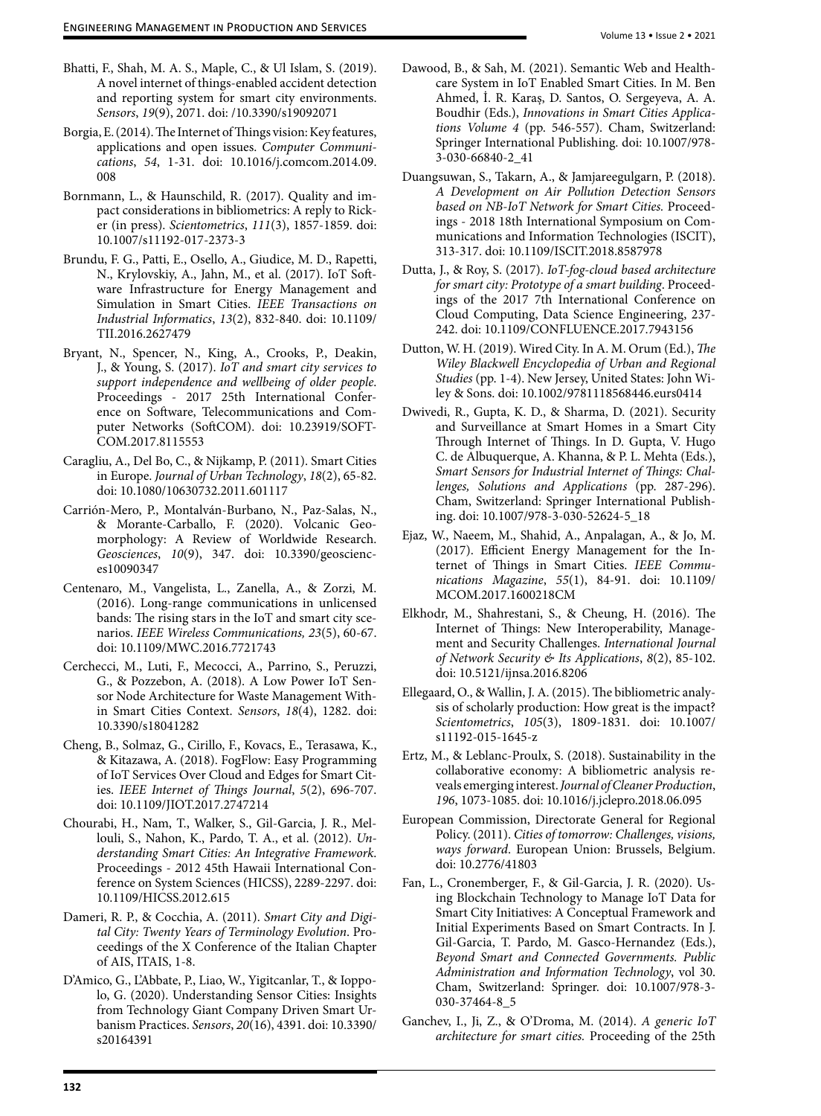- Bhatti, F., Shah, M. A. S., Maple, C., & Ul Islam, S. (2019). A novel internet of things-enabled accident detection and reporting system for smart city environments. *Sensors*, *19*(9), 2071. doi: /10.3390/s19092071
- Borgia, E. (2014). The Internet of Things vision: Key features, applications and open issues. *Computer Communications*, *54*, 1-31. doi: 10.1016/j.comcom.2014.09. 008
- Bornmann, L., & Haunschild, R. (2017). Quality and impact considerations in bibliometrics: A reply to Ricker (in press). *Scientometrics*, *111*(3), 1857-1859. doi: 10.1007/s11192-017-2373-3
- Brundu, F. G., Patti, E., Osello, A., Giudice, M. D., Rapetti, N., Krylovskiy, A., Jahn, M., et al. (2017). IoT Software Infrastructure for Energy Management and Simulation in Smart Cities. *IEEE Transactions on Industrial Informatics*, *13*(2), 832-840. doi: 10.1109/ TII.2016.2627479
- Bryant, N., Spencer, N., King, A., Crooks, P., Deakin, J., & Young, S. (2017). *IoT and smart city services to support independence and wellbeing of older people*. Proceedings - 2017 25th International Conference on Software, Telecommunications and Computer Networks (SoftCOM). doi: 10.23919/SOFT-COM.2017.8115553
- Caragliu, A., Del Bo, C., & Nijkamp, P. (2011). Smart Cities in Europe. *Journal of Urban Technology*, *18*(2), 65-82. doi: 10.1080/10630732.2011.601117
- Carrión-Mero, P., Montalván-Burbano, N., Paz-Salas, N., & Morante-Carballo, F. (2020). Volcanic Geomorphology: A Review of Worldwide Research. *Geosciences*, *10*(9), 347. doi: 10.3390/geosciences10090347
- Centenaro, M., Vangelista, L., Zanella, A., & Zorzi, M. (2016). Long-range communications in unlicensed bands: The rising stars in the IoT and smart city scenarios. *IEEE Wireless Communications, 23*(5), 60-67. doi: 10.1109/MWC.2016.7721743
- Cerchecci, M., Luti, F., Mecocci, A., Parrino, S., Peruzzi, G., & Pozzebon, A. (2018). A Low Power IoT Sensor Node Architecture for Waste Management Within Smart Cities Context. *Sensors*, *18*(4), 1282. doi: 10.3390/s18041282
- Cheng, B., Solmaz, G., Cirillo, F., Kovacs, E., Terasawa, K., & Kitazawa, A. (2018). FogFlow: Easy Programming of IoT Services Over Cloud and Edges for Smart Cities. *IEEE Internet of Things Journal*, *5*(2), 696-707. doi: 10.1109/JIOT.2017.2747214
- Chourabi, H., Nam, T., Walker, S., Gil-Garcia, J. R., Mellouli, S., Nahon, K., Pardo, T. A., et al. (2012). *Understanding Smart Cities: An Integrative Framework*. Proceedings - *2*012 45th Hawaii International Conference on System Sciences (HICSS), 2289-2297. doi: 10.1109/HICSS.2012.615
- Dameri, R. P., & Cocchia, A. (2011). *Smart City and Digital City: Twenty Years of Terminology Evolution*. Proceedings of the X Conference of the Italian Chapter of AIS, ITAIS, 1-8.
- D'Amico, G., L'Abbate, P., Liao, W., Yigitcanlar, T., & Ioppolo, G. (2020). Understanding Sensor Cities: Insights from Technology Giant Company Driven Smart Urbanism Practices. *Sensors*, *20*(16), 4391. doi: 10.3390/ s20164391
- Dawood, B., & Sah, M. (2021). Semantic Web and Healthcare System in IoT Enabled Smart Cities. In M. Ben Ahmed, İ. R. Karaș, D. Santos, O. Sergeyeva, A. A. Boudhir (Eds.), *Innovations in Smart Cities Applications Volume 4* (pp. 546-557). Cham, Switzerland: Springer International Publishing. doi: 10.1007/978- 3-030-66840-2\_41
- Duangsuwan, S., Takarn, A., & Jamjareegulgarn, P. (2018). *A Development on Air Pollution Detection Sensors based on NB-IoT Network for Smart Cities.* Proceedings - 2018 18th International Symposium on Communications and Information Technologies (ISCIT), 313-317. doi: 10.1109/ISCIT.2018.8587978
- Dutta, J., & Roy, S. (2017). *IoT-fog-cloud based architecture for smart city: Prototype of a smart building*. Proceedings of the 2017 7th International Conference on Cloud Computing, Data Science Engineering, 237- 242. doi: 10.1109/CONFLUENCE.2017.7943156
- Dutton, W. H. (2019). Wired City. In A. M. Orum (Ed.), *The Wiley Blackwell Encyclopedia of Urban and Regional Studies* (pp. 1-4). New Jersey, United States: John Wiley & Sons. doi: 10.1002/9781118568446.eurs0414
- Dwivedi, R., Gupta, K. D., & Sharma, D. (2021). Security and Surveillance at Smart Homes in a Smart City Through Internet of Things. In D. Gupta, V. Hugo C. de Albuquerque, A. Khanna, & P. L. Mehta (Eds.), *Smart Sensors for Industrial Internet of Things: Challenges, Solutions and Applications* (pp. 287-296). Cham, Switzerland: Springer International Publishing. doi: 10.1007/978-3-030-52624-5\_18
- Ejaz, W., Naeem, M., Shahid, A., Anpalagan, A., & Jo, M. (2017). Efficient Energy Management for the Internet of Things in Smart Cities. *IEEE Communications Magazine*, *55*(1), 84-91. doi: 10.1109/ MCOM.2017.1600218CM
- Elkhodr, M., Shahrestani, S., & Cheung, H. (2016). The Internet of Things: New Interoperability, Management and Security Challenges. *International Journal of Network Security & Its Applications*, *8*(2), 85-102. doi: 10.5121/ijnsa.2016.8206
- Ellegaard, O., & Wallin, J. A. (2015). The bibliometric analysis of scholarly production: How great is the impact? *Scientometrics*, *105*(3), 1809-1831. doi: 10.1007/ s11192-015-1645-z
- Ertz, M., & Leblanc-Proulx, S. (2018). Sustainability in the collaborative economy: A bibliometric analysis reveals emerging interest. *Journal of Cleaner Production*, *196*, 1073-1085. doi: 10.1016/j.jclepro.2018.06.095
- European Commission, Directorate General for Regional Policy. (2011). *Cities of tomorrow: Challenges, visions, ways forward*. European Union: Brussels, Belgium. doi: 10.2776/41803
- Fan, L., Cronemberger, F., & Gil-Garcia, J. R. (2020). Using Blockchain Technology to Manage IoT Data for Smart City Initiatives: A Conceptual Framework and Initial Experiments Based on Smart Contracts. In J. Gil-Garcia, T. Pardo, M. Gasco-Hernandez (Eds.), *Beyond Smart and Connected Governments. Public Administration and Information Technology*, vol 30. Cham, Switzerland: Springer. doi: 10.1007/978-3- 030-37464-8\_5
- Ganchev, I., Ji, Z., & O'Droma, M. (2014). *A generic IoT architecture for smart cities.* Proceeding of the 25th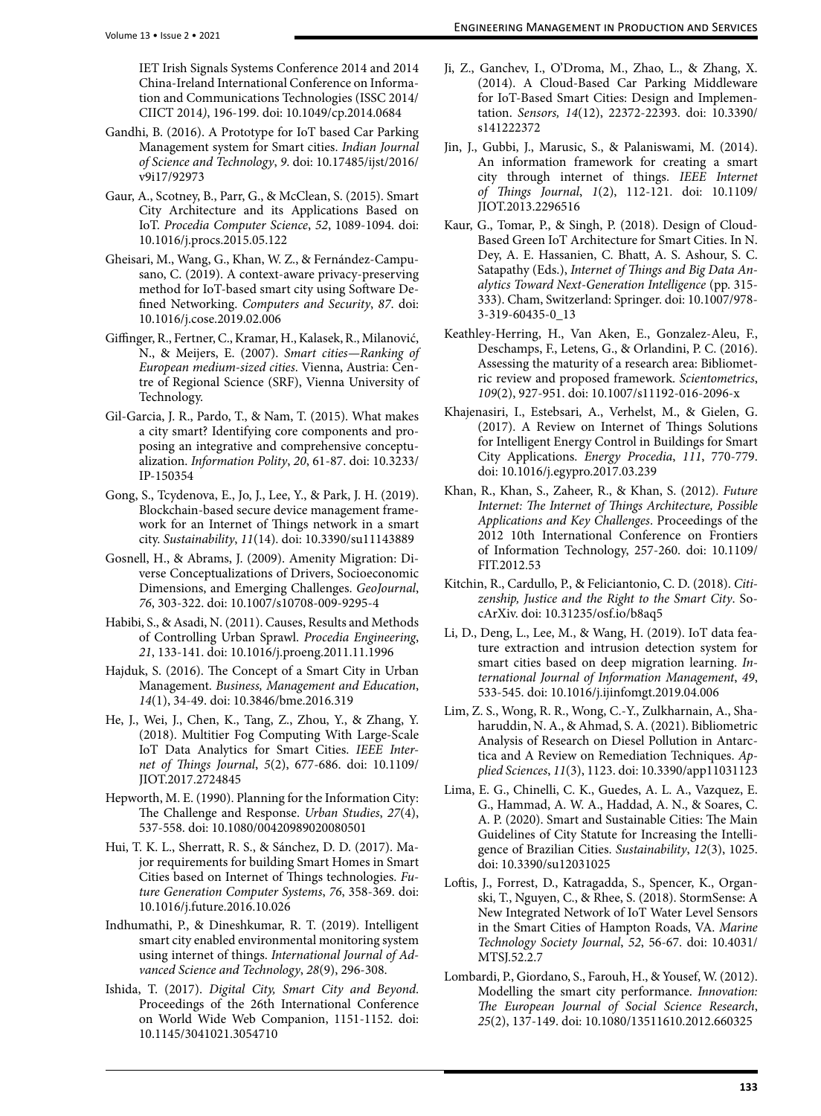IET Irish Signals Systems Conference 2014 and 2014 China-Ireland International Conference on Information and Communications Technologies (ISSC 2014/ CIICT 2014*)*, 196-199. doi: 10.1049/cp.2014.0684

- Gandhi, B. (2016). A Prototype for IoT based Car Parking Management system for Smart cities. *Indian Journal of Science and Technology*, *9*. doi: 10.17485/ijst/2016/ v9i17/92973
- Gaur, A., Scotney, B., Parr, G., & McClean, S. (2015). Smart City Architecture and its Applications Based on IoT. *Procedia Computer Science*, *52*, 1089-1094. doi: 10.1016/j.procs.2015.05.122
- Gheisari, M., Wang, G., Khan, W. Z., & Fernández-Campusano, C. (2019). A context-aware privacy-preserving method for IoT-based smart city using Software Defined Networking. *Computers and Security*, *87*. doi: 10.1016/j.cose.2019.02.006
- Giffinger, R., Fertner, C., Kramar, H., Kalasek, R., Milanović, N., & Meijers, E. (2007). *Smart cities—Ranking of European medium-sized cities*. Vienna, Austria: Centre of Regional Science (SRF), Vienna University of Technology.
- Gil-Garcia, J. R., Pardo, T., & Nam, T. (2015). What makes a city smart? Identifying core components and proposing an integrative and comprehensive conceptualization. *Information Polity*, *20*, 61-87. doi: 10.3233/ IP-150354
- Gong, S., Tcydenova, E., Jo, J., Lee, Y., & Park, J. H. (2019). Blockchain-based secure device management framework for an Internet of Things network in a smart city. *Sustainability*, *11*(14). doi: 10.3390/su11143889
- Gosnell, H., & Abrams, J. (2009). Amenity Migration: Diverse Conceptualizations of Drivers, Socioeconomic Dimensions, and Emerging Challenges. *GeoJournal*, *76*, 303-322. doi: 10.1007/s10708-009-9295-4
- Habibi, S., & Asadi, N. (2011). Causes, Results and Methods of Controlling Urban Sprawl. *Procedia Engineering*, *21*, 133-141. doi: 10.1016/j.proeng.2011.11.1996
- Hajduk, S. (2016). The Concept of a Smart City in Urban Management. *Business, Management and Education*, *14*(1), 34-49. doi: 10.3846/bme.2016.319
- He, J., Wei, J., Chen, K., Tang, Z., Zhou, Y., & Zhang, Y. (2018). Multitier Fog Computing With Large-Scale IoT Data Analytics for Smart Cities. *IEEE Internet of Things Journal*, *5*(2), 677-686. doi: 10.1109/ JIOT.2017.2724845
- Hepworth, M. E. (1990). Planning for the Information City: The Challenge and Response. *Urban Studies*, *27*(4), 537-558. doi: 10.1080/00420989020080501
- Hui, T. K. L., Sherratt, R. S., & Sánchez, D. D. (2017). Major requirements for building Smart Homes in Smart Cities based on Internet of Things technologies. *Future Generation Computer Systems*, *76*, 358-369. doi: 10.1016/j.future.2016.10.026
- Indhumathi, P., & Dineshkumar, R. T. (2019). Intelligent smart city enabled environmental monitoring system using internet of things. *International Journal of Advanced Science and Technology*, *28*(9), 296-308.
- Ishida, T. (2017). *Digital City, Smart City and Beyond*. Proceedings of the 26th International Conference on World Wide Web Companion, 1151-1152. doi: 10.1145/3041021.3054710
- Ji, Z., Ganchev, I., O'Droma, M., Zhao, L., & Zhang, X. (2014). A Cloud-Based Car Parking Middleware for IoT-Based Smart Cities: Design and Implementation. *Sensors, 14*(12), 22372-22393. doi: 10.3390/ s141222372
- Jin, J., Gubbi, J., Marusic, S., & Palaniswami, M. (2014). An information framework for creating a smart city through internet of things. *IEEE Internet of Things Journal*, *1*(2), 112-121. doi: 10.1109/ JIOT.2013.2296516
- Kaur, G., Tomar, P., & Singh, P. (2018). Design of Cloud-Based Green IoT Architecture for Smart Cities. In N. Dey, A. E. Hassanien, C. Bhatt, A. S. Ashour, S. C. Satapathy (Eds.), *Internet of Things and Big Data Analytics Toward Next-Generation Intelligence* (pp. 315- 333). Cham, Switzerland: Springer. doi: 10.1007/978- 3-319-60435-0\_13
- Keathley-Herring, H., Van Aken, E., Gonzalez-Aleu, F., Deschamps, F., Letens, G., & Orlandini, P. C. (2016). Assessing the maturity of a research area: Bibliometric review and proposed framework. *Scientometrics*, *109*(2), 927-951. doi: 10.1007/s11192-016-2096-x
- Khajenasiri, I., Estebsari, A., Verhelst, M., & Gielen, G. (2017). A Review on Internet of Things Solutions for Intelligent Energy Control in Buildings for Smart City Applications. *Energy Procedia*, *111*, 770-779. doi: 10.1016/j.egypro.2017.03.239
- Khan, R., Khan, S., Zaheer, R., & Khan, S. (2012). *Future Internet: The Internet of Things Architecture, Possible Applications and Key Challenges*. Proceedings of the 2012 10th International Conference on Frontiers of Information Technology, 257-260. doi: 10.1109/ FIT.2012.53
- Kitchin, R., Cardullo, P., & Feliciantonio, C. D. (2018). *Citizenship, Justice and the Right to the Smart City*. SocArXiv. doi: 10.31235/osf.io/b8aq5
- Li, D., Deng, L., Lee, M., & Wang, H. (2019). IoT data feature extraction and intrusion detection system for smart cities based on deep migration learning. *International Journal of Information Management*, *49*, 533-545. doi: 10.1016/j.ijinfomgt.2019.04.006
- Lim, Z. S., Wong, R. R., Wong, C.-Y., Zulkharnain, A., Shaharuddin, N. A., & Ahmad, S. A. (2021). Bibliometric Analysis of Research on Diesel Pollution in Antarctica and A Review on Remediation Techniques. *Applied Sciences*, *11*(3), 1123. doi: 10.3390/app11031123
- Lima, E. G., Chinelli, C. K., Guedes, A. L. A., Vazquez, E. G., Hammad, A. W. A., Haddad, A. N., & Soares, C. A. P. (2020). Smart and Sustainable Cities: The Main Guidelines of City Statute for Increasing the Intelligence of Brazilian Cities. *Sustainability*, *12*(3), 1025. doi: 10.3390/su12031025
- Loftis, J., Forrest, D., Katragadda, S., Spencer, K., Organski, T., Nguyen, C., & Rhee, S. (2018). StormSense: A New Integrated Network of IoT Water Level Sensors in the Smart Cities of Hampton Roads, VA. *Marine Technology Society Journal*, *52*, 56-67. doi: 10.4031/ MTSJ.52.2.7
- Lombardi, P., Giordano, S., Farouh, H., & Yousef, W. (2012). Modelling the smart city performance. *Innovation: The European Journal of Social Science Research*, *25*(2), 137-149. doi: 10.1080/13511610.2012.660325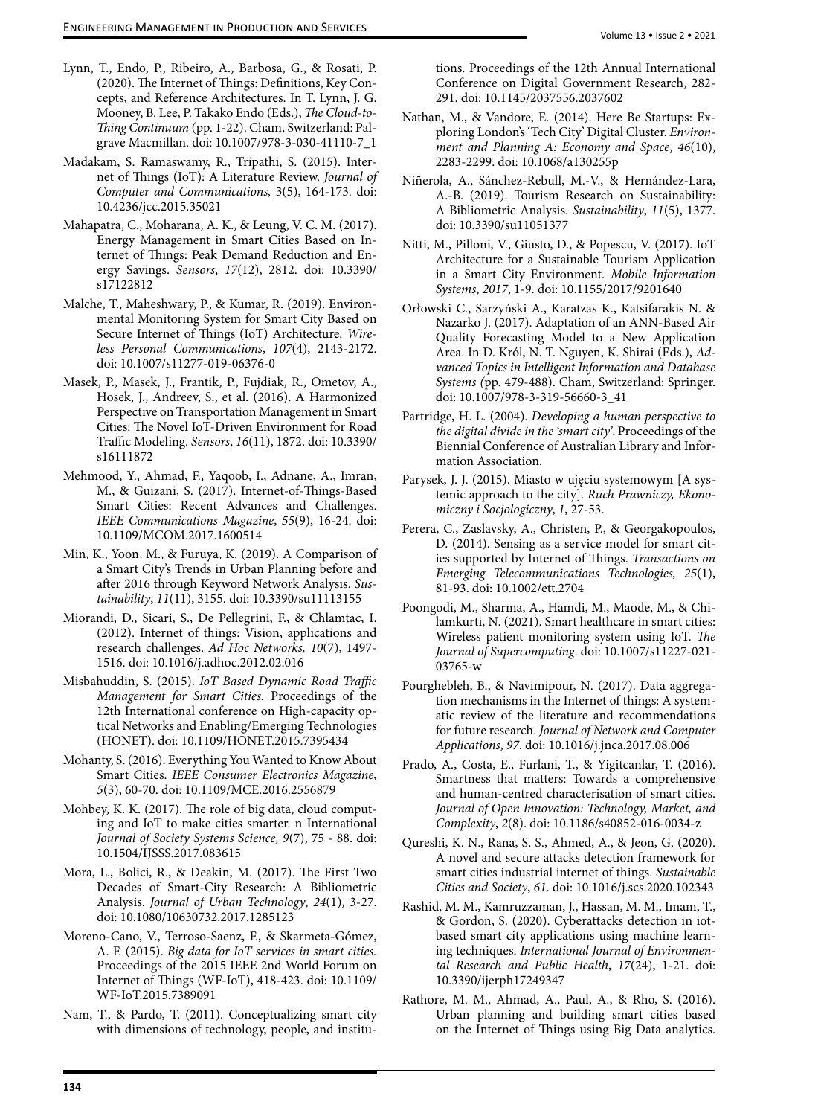- Lynn, T., Endo, P., Ribeiro, A., Barbosa, G., & Rosati, P. (2020). The Internet of Things: Definitions, Key Concepts, and Reference Architectures. In T. Lynn, J. G. Mooney, B. Lee, P. Takako Endo (Eds.), *The Cloud-to-Thing Continuum* (pp. 1-22). Cham, Switzerland: Palgrave Macmillan. doi: 10.1007/978-3-030-41110-7\_1
- Madakam, S. Ramaswamy, R., Tripathi, S. (2015). Internet of Things (IoT): A Literature Review. *Journal of Computer and Communications,* 3(5), 164-173. doi: 10.4236/jcc.2015.35021
- Mahapatra, C., Moharana, A. K., & Leung, V. C. M. (2017). Energy Management in Smart Cities Based on Internet of Things: Peak Demand Reduction and Energy Savings. *Sensors*, *17*(12), 2812. doi: 10.3390/ s17122812
- Malche, T., Maheshwary, P., & Kumar, R. (2019). Environmental Monitoring System for Smart City Based on Secure Internet of Things (IoT) Architecture. *Wireless Personal Communications*, *107*(4), 2143-2172. doi: 10.1007/s11277-019-06376-0
- Masek, P., Masek, J., Frantik, P., Fujdiak, R., Ometov, A., Hosek, J., Andreev, S., et al. (2016). A Harmonized Perspective on Transportation Management in Smart Cities: The Novel IoT-Driven Environment for Road Traffic Modeling. *Sensors*, *16*(11), 1872. doi: 10.3390/ s16111872
- Mehmood, Y., Ahmad, F., Yaqoob, I., Adnane, A., Imran, M., & Guizani, S. (2017). Internet-of-Things-Based Smart Cities: Recent Advances and Challenges. *IEEE Communications Magazine*, *55*(9), 16-24. doi: 10.1109/MCOM.2017.1600514
- Min, K., Yoon, M., & Furuya, K. (2019). A Comparison of a Smart City's Trends in Urban Planning before and after 2016 through Keyword Network Analysis. *Sustainability*, *11*(11), 3155. doi: 10.3390/su11113155
- Miorandi, D., Sicari, S., De Pellegrini, F., & Chlamtac, I. (2012). Internet of things: Vision, applications and research challenges. *Ad Hoc Networks, 10*(7), 1497- 1516. doi: 10.1016/j.adhoc.2012.02.016
- Misbahuddin, S. (2015). *IoT Based Dynamic Road Traffic Management for Smart Cities.* Proceedings of the 12th International conference on High-capacity optical Networks and Enabling/Emerging Technologies (HONET). doi: 10.1109/HONET.2015.7395434
- Mohanty, S. (2016). Everything You Wanted to Know About Smart Cities. *IEEE Consumer Electronics Magazine*, *5*(3), 60-70. doi: 10.1109/MCE.2016.2556879
- Mohbey, K. K. (2017). The role of big data, cloud computing and IoT to make cities smarter. n International *Journal of Society Systems Science, 9*(7), 75 - 88. doi: 10.1504/IJSSS.2017.083615
- Mora, L., Bolici, R., & Deakin, M. (2017). The First Two Decades of Smart-City Research: A Bibliometric Analysis. *Journal of Urban Technology*, *24*(1), 3-27. doi: 10.1080/10630732.2017.1285123
- Moreno-Cano, V., Terroso-Saenz, F., & Skarmeta-Gómez, A. F. (2015). *Big data for IoT services in smart cities.*  Proceedings of the 2015 IEEE 2nd World Forum on Internet of Things (WF-IoT), 418-423. doi: 10.1109/ WF-IoT.2015.7389091
- Nam, T., & Pardo, T. (2011). Conceptualizing smart city with dimensions of technology, people, and institu-

tions. Proceedings of the 12th Annual International Conference on Digital Government Research, 282- 291. doi: 10.1145/2037556.2037602

- Nathan, M., & Vandore, E. (2014). Here Be Startups: Exploring London's 'Tech City' Digital Cluster. *Environment and Planning A: Economy and Space*, *46*(10), 2283-2299. doi: 10.1068/a130255p
- Niñerola, A., Sánchez-Rebull, M.-V., & Hernández-Lara, A.-B. (2019). Tourism Research on Sustainability: A Bibliometric Analysis. *Sustainability*, *11*(5), 1377. doi: 10.3390/su11051377
- Nitti, M., Pilloni, V., Giusto, D., & Popescu, V. (2017). IoT Architecture for a Sustainable Tourism Application in a Smart City Environment. *Mobile Information Systems*, *2017*, 1-9. doi: 10.1155/2017/9201640
- Orłowski C., Sarzyński A., Karatzas K., Katsifarakis N. & Nazarko J. (2017). Adaptation of an ANN-Based Air Quality Forecasting Model to a New Application Area. In D. Król, N. T. Nguyen, K. Shirai (Eds.), *Advanced Topics in Intelligent Information and Database Systems (*pp. 479-488). Cham, Switzerland: Springer. doi: 10.1007/978-3-319-56660-3\_41
- Partridge, H. L. (2004). *Developing a human perspective to the digital divide in the 'smart city'*. Proceedings of the Biennial Conference of Australian Library and Information Association.
- Parysek, J. J. (2015). Miasto w ujęciu systemowym [A systemic approach to the city]. *Ruch Prawniczy, Ekonomiczny i Socjologiczny*, *1*, 27-53.
- Perera, C., Zaslavsky, A., Christen, P., & Georgakopoulos, D. (2014). Sensing as a service model for smart cities supported by Internet of Things. *Transactions on Emerging Telecommunications Technologies, 25*(1), 81-93. doi: 10.1002/ett.2704
- Poongodi, M., Sharma, A., Hamdi, M., Maode, M., & Chilamkurti, N. (2021). Smart healthcare in smart cities: Wireless patient monitoring system using IoT. *The Journal of Supercomputing*. doi: 10.1007/s11227-021- 03765-w
- Pourghebleh, B., & Navimipour, N. (2017). Data aggregation mechanisms in the Internet of things: A systematic review of the literature and recommendations for future research. *Journal of Network and Computer Applications*, *97*. doi: 10.1016/j.jnca.2017.08.006
- Prado, A., Costa, E., Furlani, T., & Yigitcanlar, T. (2016). Smartness that matters: Towards a comprehensive and human-centred characterisation of smart cities. *Journal of Open Innovation: Technology, Market, and Complexity*, *2*(8). doi: 10.1186/s40852-016-0034-z
- Qureshi, K. N., Rana, S. S., Ahmed, A., & Jeon, G. (2020). A novel and secure attacks detection framework for smart cities industrial internet of things. *Sustainable Cities and Society*, *61*. doi: 10.1016/j.scs.2020.102343
- Rashid, M. M., Kamruzzaman, J., Hassan, M. M., Imam, T., & Gordon, S. (2020). Cyberattacks detection in iotbased smart city applications using machine learning techniques. *International Journal of Environmental Research and Public Health*, *17*(24), 1-21. doi: 10.3390/ijerph17249347
- Rathore, M. M., Ahmad, A., Paul, A., & Rho, S. (2016). Urban planning and building smart cities based on the Internet of Things using Big Data analytics.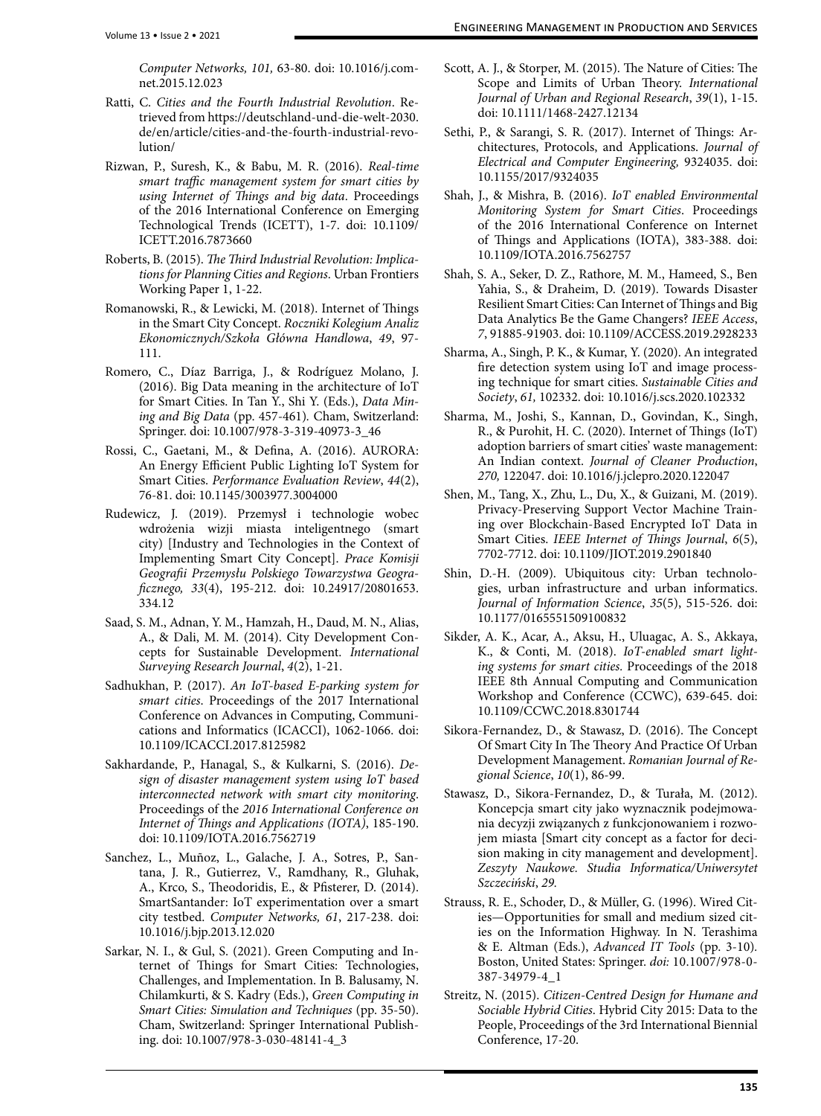*Computer Networks, 101,* 63-80. doi: 10.1016/j.comnet.2015.12.023

- Ratti, C. *Cities and the Fourth Industrial Revolution*. Retrieved from https://deutschland-und-die-welt-2030. de/en/article/cities-and-the-fourth-industrial-revolution/
- Rizwan, P., Suresh, K., & Babu, M. R. (2016). *Real-time smart traffic management system for smart cities by using Internet of Things and big data*. Proceedings of the 2016 International Conference on Emerging Technological Trends (ICETT), 1-7. doi: 10.1109/ ICETT.2016.7873660
- Roberts, B. (2015). *The Third Industrial Revolution: Implications for Planning Cities and Regions*. Urban Frontiers Working Paper 1, 1-22.
- Romanowski, R., & Lewicki, M. (2018). Internet of Things in the Smart City Concept. *Roczniki Kolegium Analiz Ekonomicznych/Szkoła Główna Handlowa*, *49*, 97- 111.
- Romero, C., Díaz Barriga, J., & Rodríguez Molano, J. (2016). Big Data meaning in the architecture of IoT for Smart Cities. In Tan Y., Shi Y. (Eds.), *Data Mining and Big Data* (pp. 457-461)*.* Cham, Switzerland: Springer. doi: 10.1007/978-3-319-40973-3\_46
- Rossi, C., Gaetani, M., & Defina, A. (2016). AURORA: An Energy Efficient Public Lighting IoT System for Smart Cities. *Performance Evaluation Review*, *44*(2), 76-81. doi: 10.1145/3003977.3004000
- Rudewicz, J. (2019). Przemysł i technologie wobec wdrożenia wizji miasta inteligentnego (smart city) [Industry and Technologies in the Context of Implementing Smart City Concept]. *Prace Komisji Geografii Przemysłu Polskiego Towarzystwa Geograficznego, 33*(4), 195-212. doi: 10.24917/20801653. 334.12
- Saad, S. M., Adnan, Y. M., Hamzah, H., Daud, M. N., Alias, A., & Dali, M. M. (2014). City Development Concepts for Sustainable Development. *International Surveying Research Journal*, *4*(2), 1-21.
- Sadhukhan, P. (2017). *An IoT-based E-parking system for smart cities*. Proceedings of the 2017 International Conference on Advances in Computing, Communications and Informatics (ICACCI), 1062-1066. doi: 10.1109/ICACCI.2017.8125982
- Sakhardande, P., Hanagal, S., & Kulkarni, S. (2016). *Design of disaster management system using IoT based interconnected network with smart city monitoring*. Proceedings of the *2016 International Conference on Internet of Things and Applications (IOTA)*, 185-190. doi: 10.1109/IOTA.2016.7562719
- Sanchez, L., Muñoz, L., Galache, J. A., Sotres, P., Santana, J. R., Gutierrez, V., Ramdhany, R., Gluhak, A., Krco, S., Theodoridis, E., & Pfisterer, D. (2014). SmartSantander: IoT experimentation over a smart city testbed. *Computer Networks, 61*, 217-238. doi: 10.1016/j.bjp.2013.12.020
- Sarkar, N. I., & Gul, S. (2021). Green Computing and Internet of Things for Smart Cities: Technologies, Challenges, and Implementation. In B. Balusamy, N. Chilamkurti, & S. Kadry (Eds.), *Green Computing in Smart Cities: Simulation and Techniques* (pp. 35-50). Cham, Switzerland: Springer International Publishing. doi: 10.1007/978-3-030-48141-4\_3
- Scott, A. J., & Storper, M. (2015). The Nature of Cities: The Scope and Limits of Urban Theory. *International Journal of Urban and Regional Research*, *39*(1), 1-15. doi: 10.1111/1468-2427.12134
- Sethi, P., & Sarangi, S. R. (2017). Internet of Things: Architectures, Protocols, and Applications. *Journal of Electrical and Computer Engineering,* 9324035. doi: 10.1155/2017/9324035
- Shah, J., & Mishra, B. (2016). *IoT enabled Environmental Monitoring System for Smart Cities*. Proceedings of the 2016 International Conference on Internet of Things and Applications (IOTA), 383-388. doi: 10.1109/IOTA.2016.7562757
- Shah, S. A., Seker, D. Z., Rathore, M. M., Hameed, S., Ben Yahia, S., & Draheim, D. (2019). Towards Disaster Resilient Smart Cities: Can Internet of Things and Big Data Analytics Be the Game Changers? *IEEE Access*, *7*, 91885-91903. doi: 10.1109/ACCESS.2019.2928233
- Sharma, A., Singh, P. K., & Kumar, Y. (2020). An integrated fire detection system using IoT and image processing technique for smart cities. *Sustainable Cities and Society*, *61,* 102332. doi: 10.1016/j.scs.2020.102332
- Sharma, M., Joshi, S., Kannan, D., Govindan, K., Singh, R., & Purohit, H. C. (2020). Internet of Things (IoT) adoption barriers of smart cities' waste management: An Indian context. *Journal of Cleaner Production*, *270,* 122047. doi: 10.1016/j.jclepro.2020.122047
- Shen, M., Tang, X., Zhu, L., Du, X., & Guizani, M. (2019). Privacy-Preserving Support Vector Machine Training over Blockchain-Based Encrypted IoT Data in Smart Cities. *IEEE Internet of Things Journal*, *6*(5), 7702-7712. doi: 10.1109/JIOT.2019.2901840
- Shin, D.-H. (2009). Ubiquitous city: Urban technologies, urban infrastructure and urban informatics. *Journal of Information Science*, *35*(5), 515-526. doi: 10.1177/0165551509100832
- Sikder, A. K., Acar, A., Aksu, H., Uluagac, A. S., Akkaya, K., & Conti, M. (2018). *IoT-enabled smart lighting systems for smart cities.* Proceedings of the 2018 IEEE 8th Annual Computing and Communication Workshop and Conference (CCWC), 639-645. doi: 10.1109/CCWC.2018.8301744
- Sikora-Fernandez, D., & Stawasz, D. (2016). The Concept Of Smart City In The Theory And Practice Of Urban Development Management. *Romanian Journal of Regional Science*, *10*(1), 86-99.
- Stawasz, D., Sikora-Fernandez, D., & Turała, M. (2012). Koncepcja smart city jako wyznacznik podejmowania decyzji związanych z funkcjonowaniem i rozwojem miasta [Smart city concept as a factor for decision making in city management and development]. *Zeszyty Naukowe. Studia Informatica/Uniwersytet Szczeciński*, *29.*
- Strauss, R. E., Schoder, D., & Müller, G. (1996). Wired Cities—Opportunities for small and medium sized cities on the Information Highway. In N. Terashima & E. Altman (Eds.), *Advanced IT Tools* (pp. 3-10)*.*  Boston, United States: Springer. *doi:* 10.1007/978-0- 387-34979-4\_1
- Streitz, N. (2015). *Citizen-Centred Design for Humane and Sociable Hybrid Cities*. Hybrid City 2015: Data to the People, Proceedings of the 3rd International Biennial Conference, 17-20.